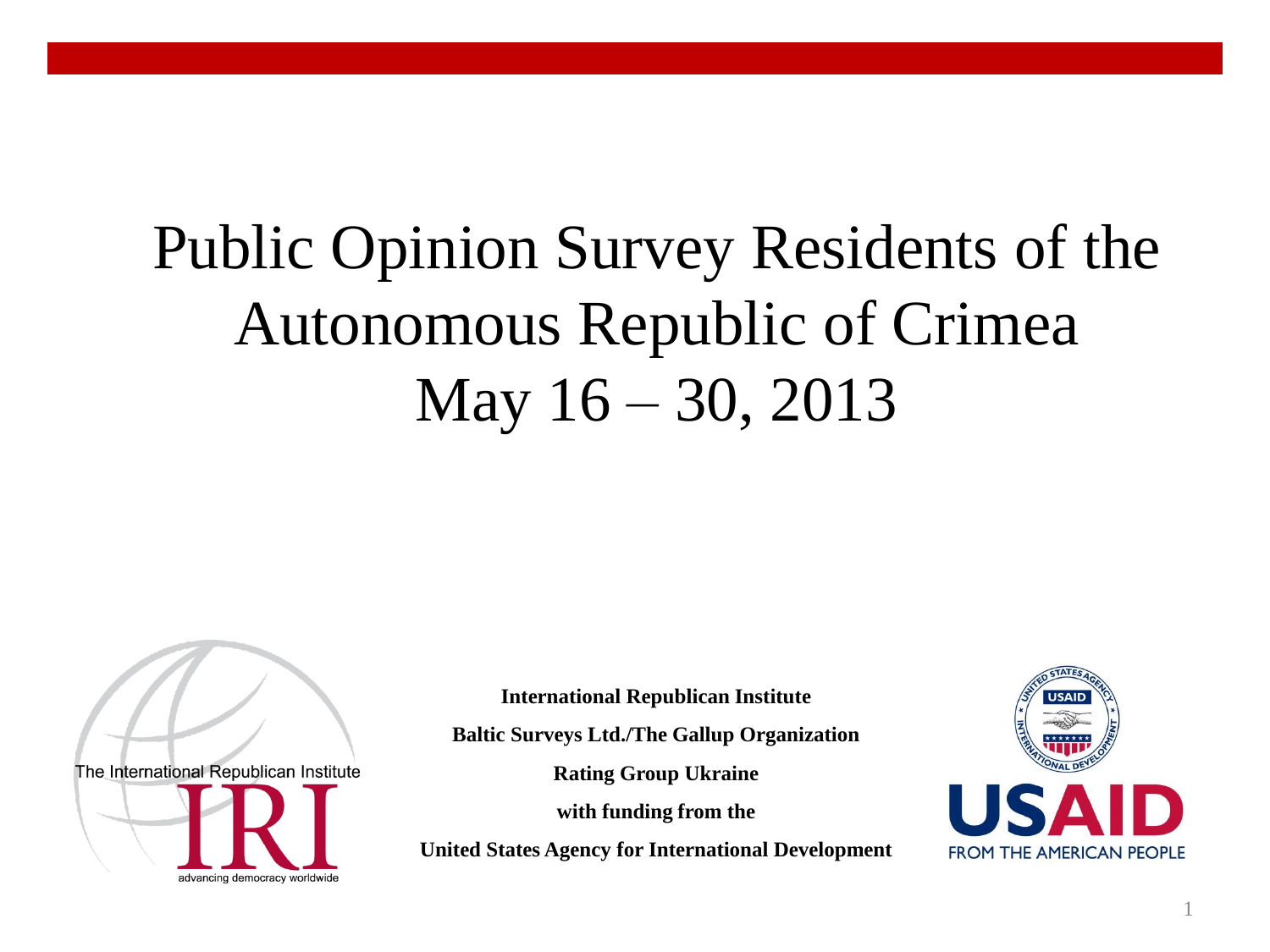## Public Opinion Survey Residents of the Autonomous Republic of Crimea May 16 – 30, 2013

The International Republican Institute advancing democracy worldwide

**International Republican Institute**

**Baltic Surveys Ltd./The Gallup Organization**

**Rating Group Ukraine**

**with funding from the** 

**United States Agency for International Development**

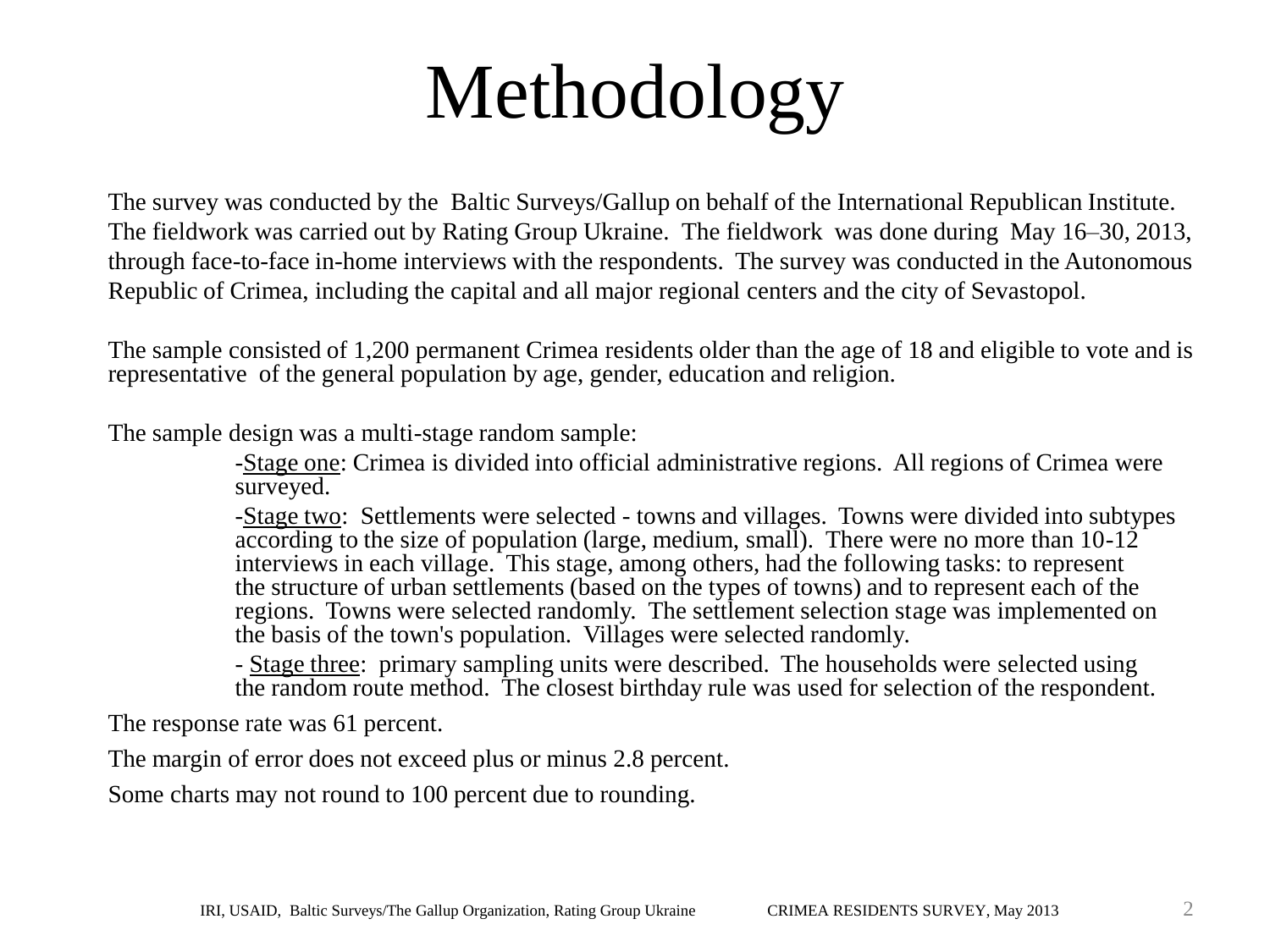# Methodology

The survey was conducted by the Baltic Surveys/Gallup on behalf of the International Republican Institute. The fieldwork was carried out by Rating Group Ukraine. The fieldwork was done during May 16–30, 2013, through face-to-face in-home interviews with the respondents. The survey was conducted in the Autonomous Republic of Crimea, including the capital and all major regional centers and the city of Sevastopol.

The sample consisted of 1,200 permanent Crimea residents older than the age of 18 and eligible to vote and is representative of the general population by age, gender, education and religion.

The sample design was a multi-stage random sample:

-Stage one: Crimea is divided into official administrative regions. All regions of Crimea were surveyed.

-Stage two: Settlements were selected - towns and villages. Towns were divided into subtypes according to the size of population (large, medium, small). There were no more than  $10-12^{\frac{1}{2}}$ interviews in each village. This stage, among others, had the following tasks: to represent the structure of urban settlements (based on the types of towns) and to represent each of the regions. Towns were selected randomly. The settlement selection stage was implemented on the basis of the town's population. Villages were selected randomly.

- Stage three: primary sampling units were described. The households were selected using the random route method. The closest birthday rule was used for selection of the respondent.

The response rate was 61 percent.

The margin of error does not exceed plus or minus 2.8 percent.

Some charts may not round to 100 percent due to rounding.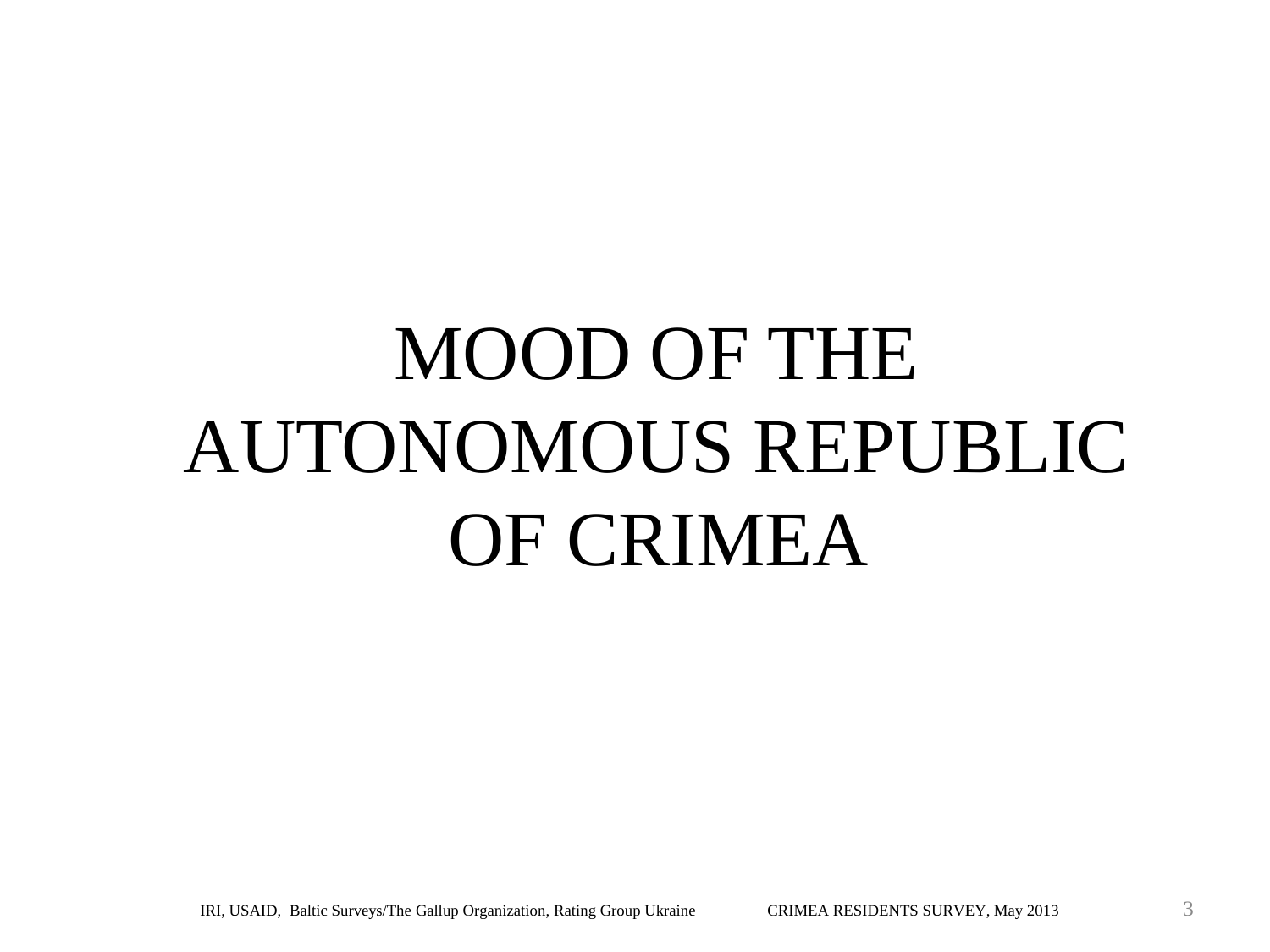# MOOD OF THE AUTONOMOUS REPUBLIC OF CRIMEA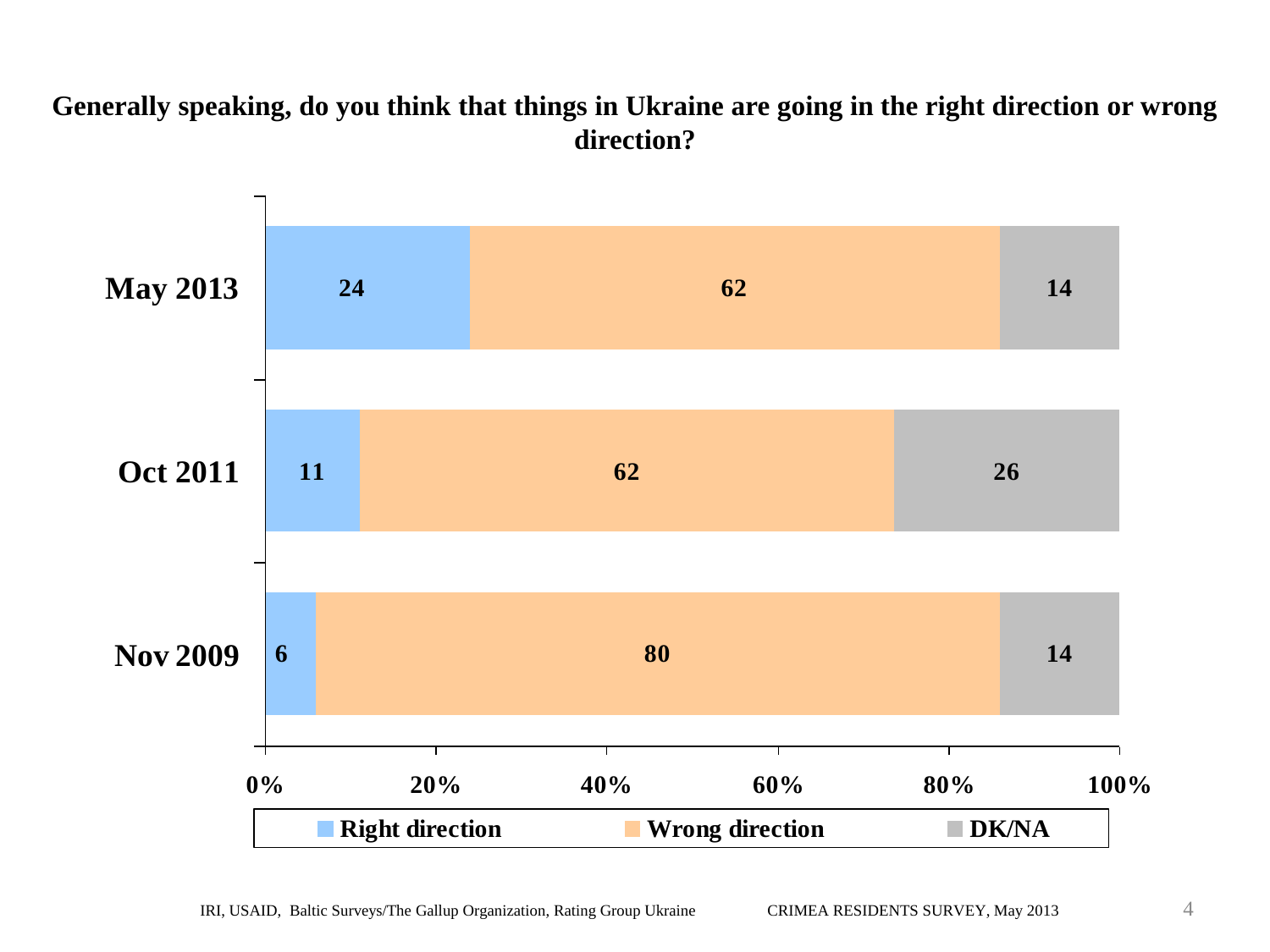#### **Generally speaking, do you think that things in Ukraine are going in the right direction or wrong direction?**

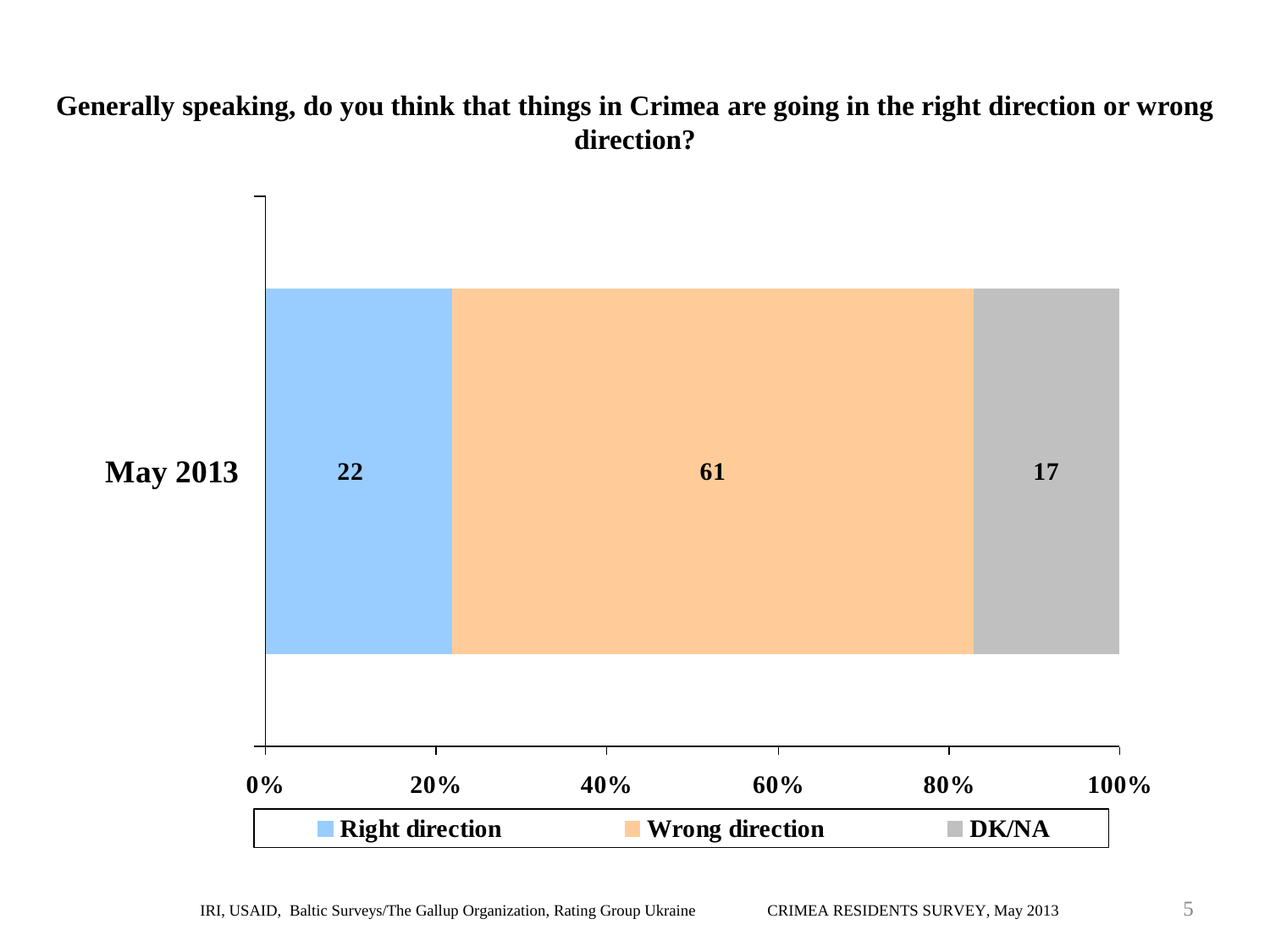#### **Generally speaking, do you think that things in Crimea are going in the right direction or wrong direction?**

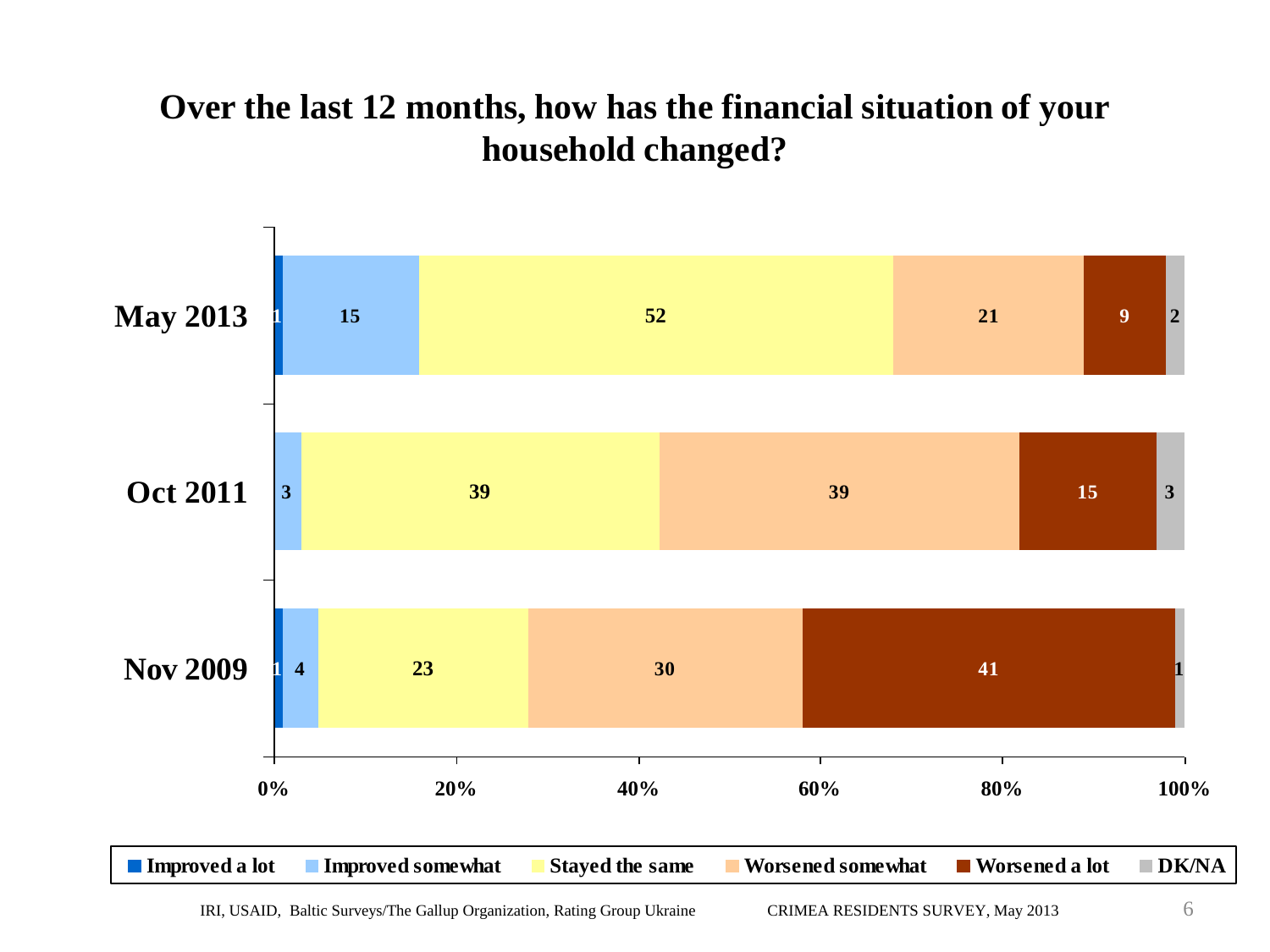### **Over the last 12 months, how has the financial situation of your household changed?**

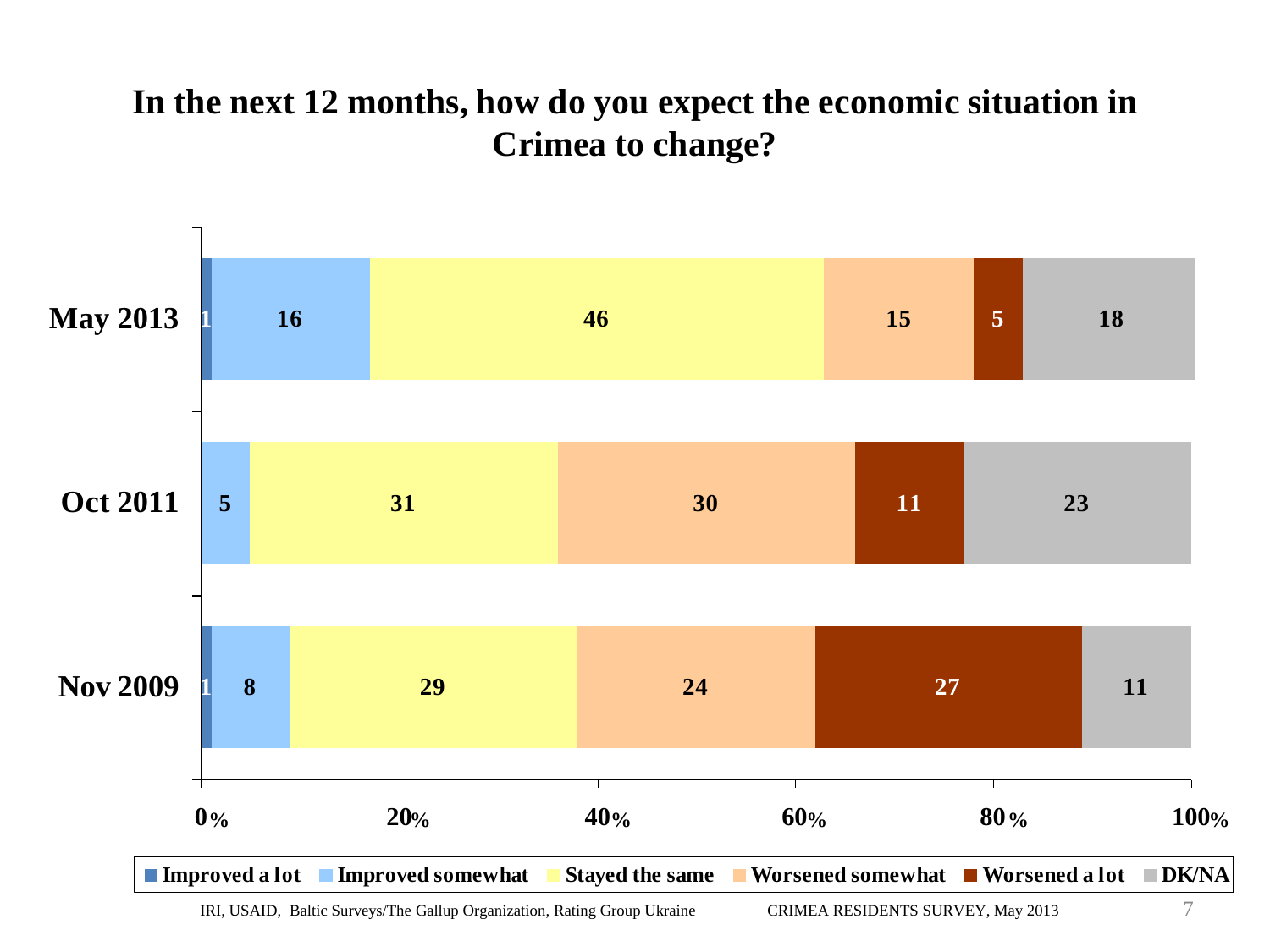## **In the next 12 months, how do you expect the economic situation in Crimea to change?**

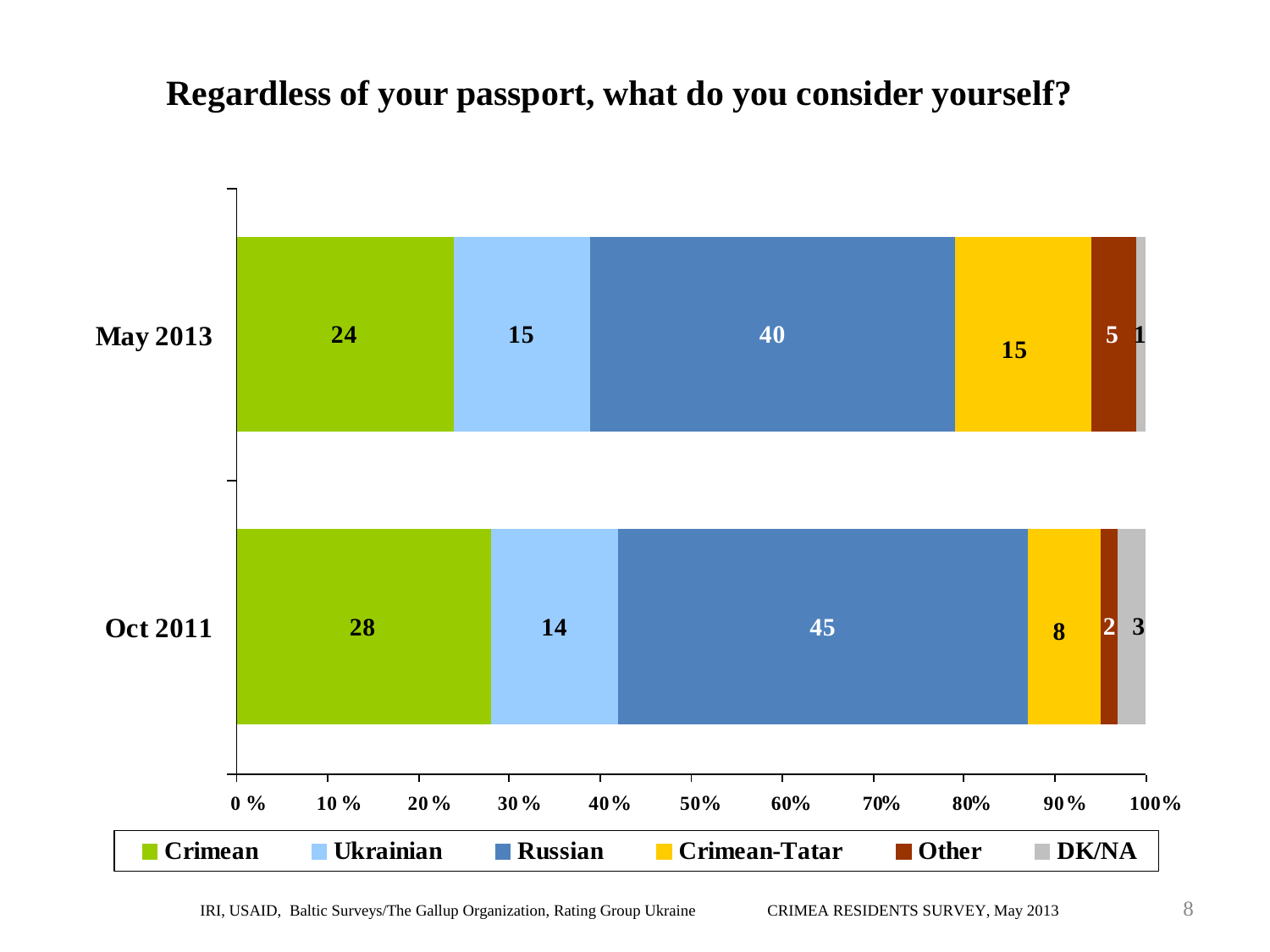#### **Regardless of your passport, what do you consider yourself?**

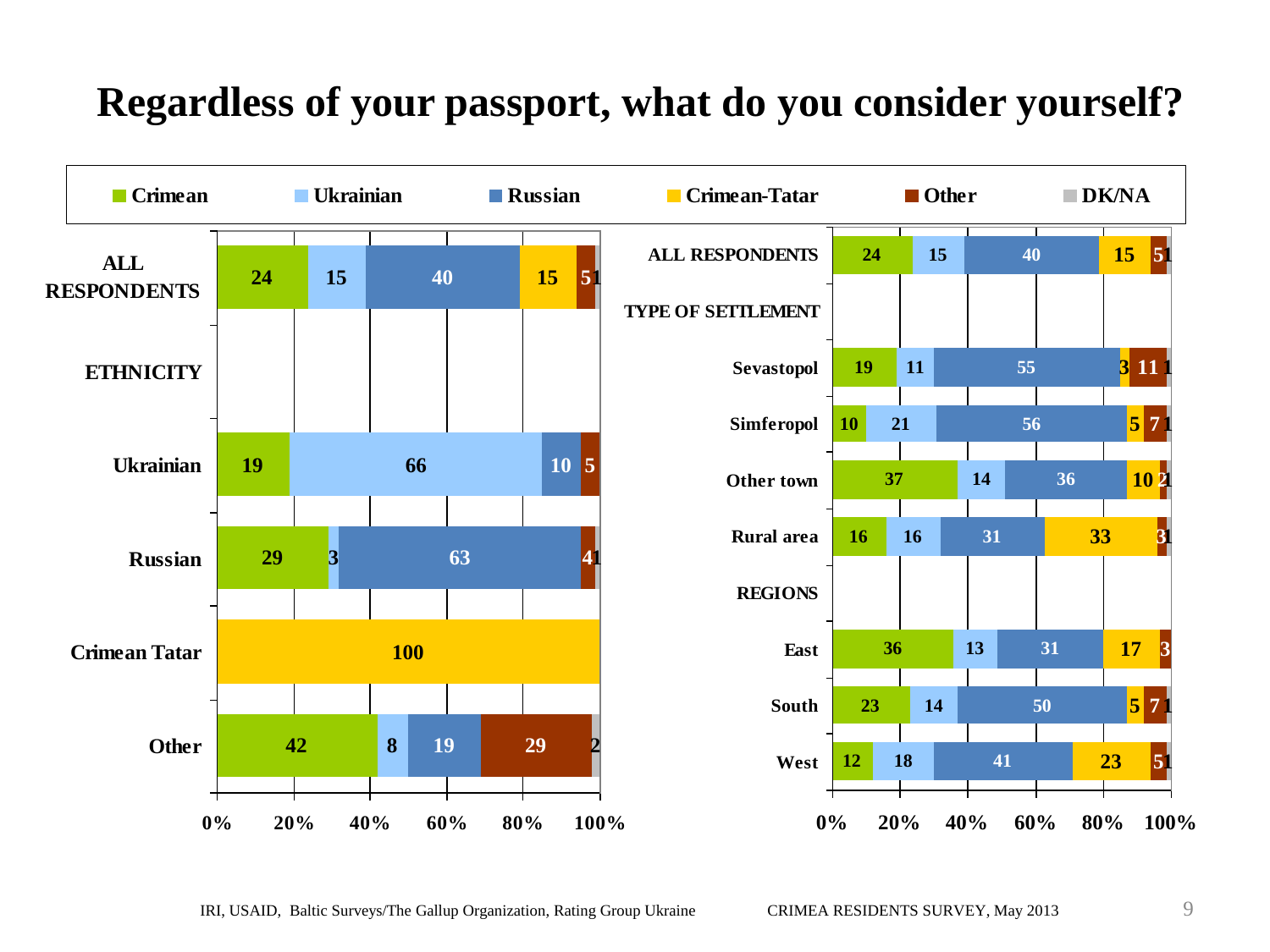## **Regardless of your passport, what do you consider yourself?**

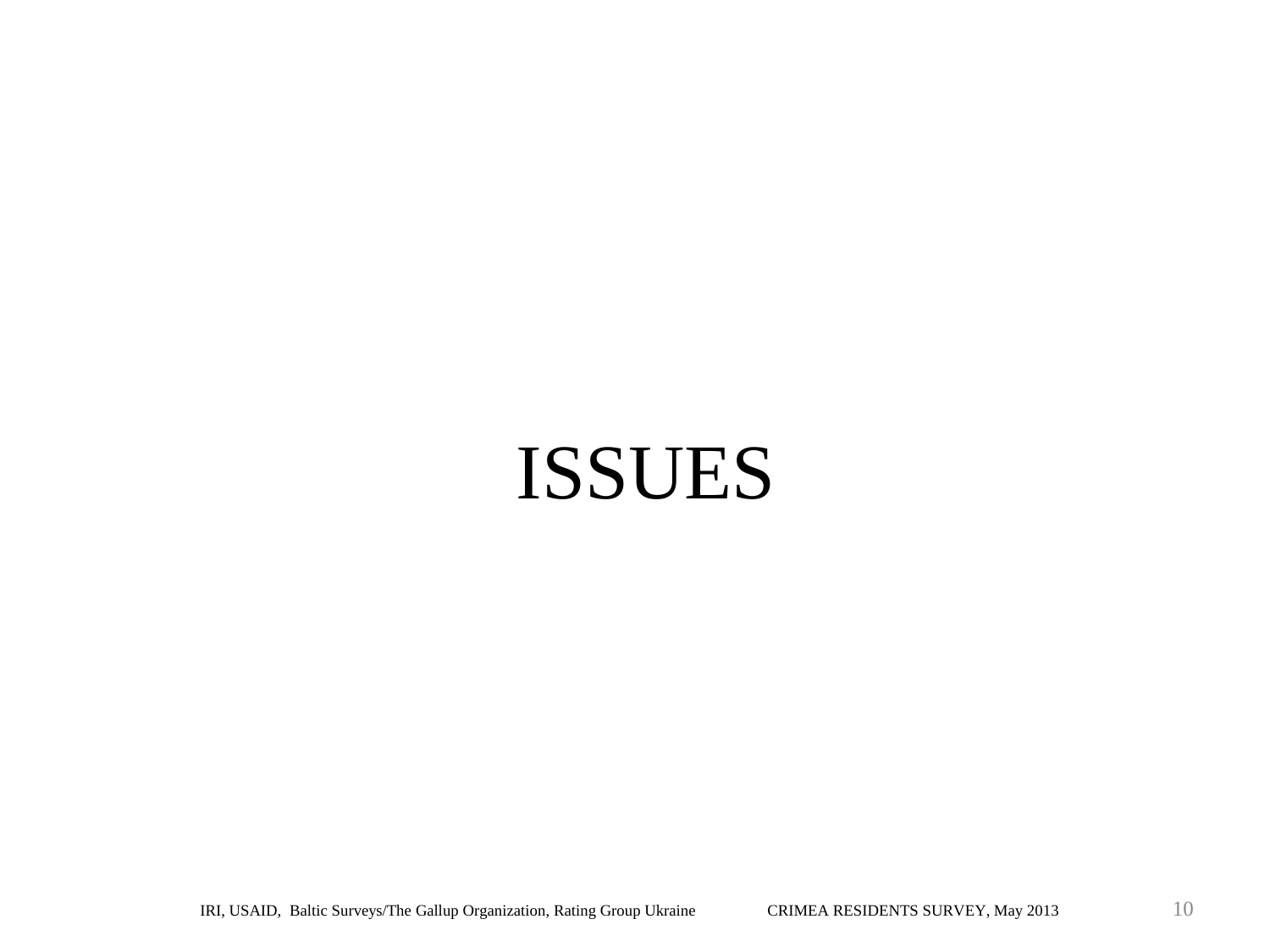# ISSUES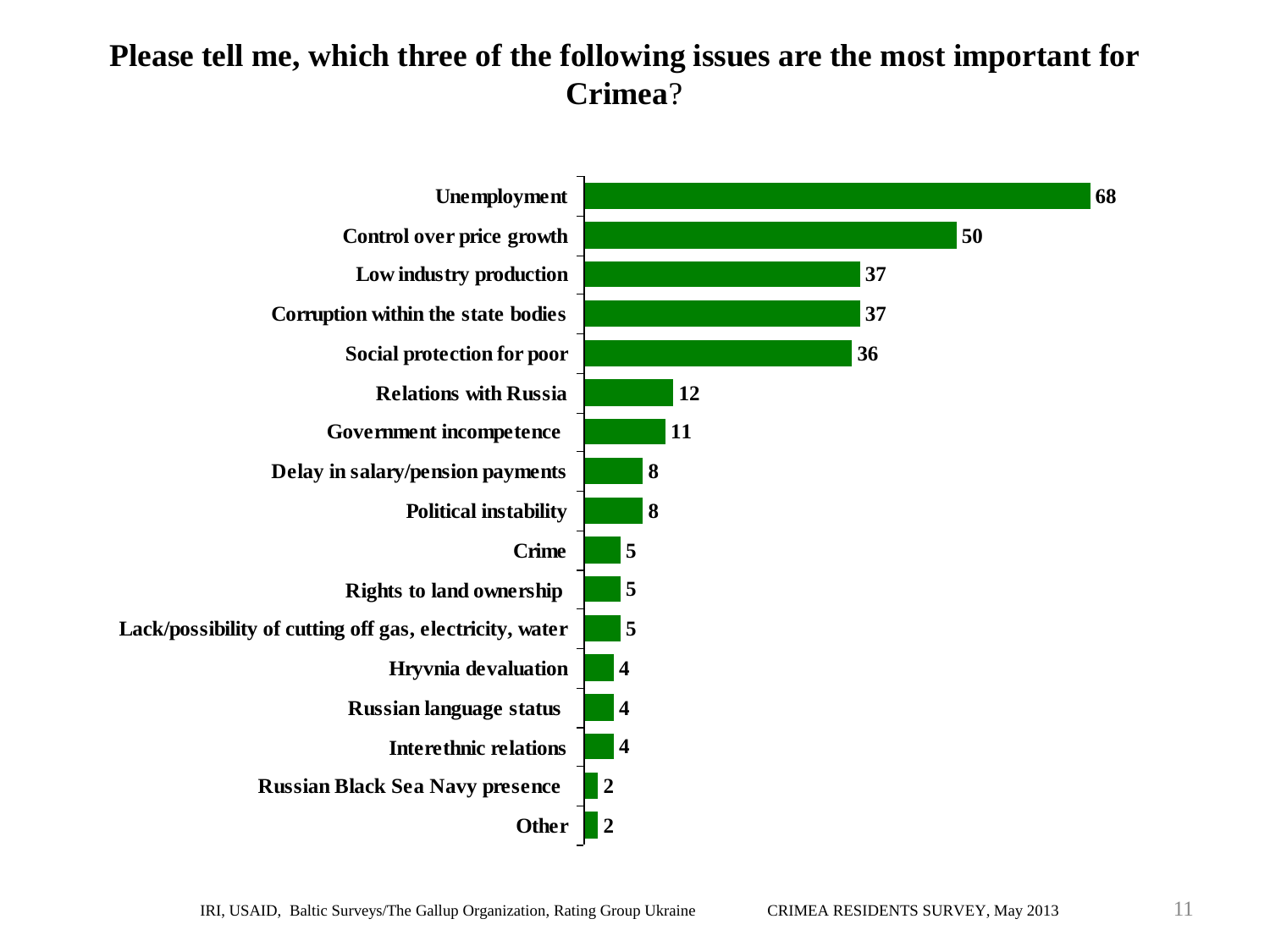#### **Please tell me, which three of the following issues are the most important for Crimea**?

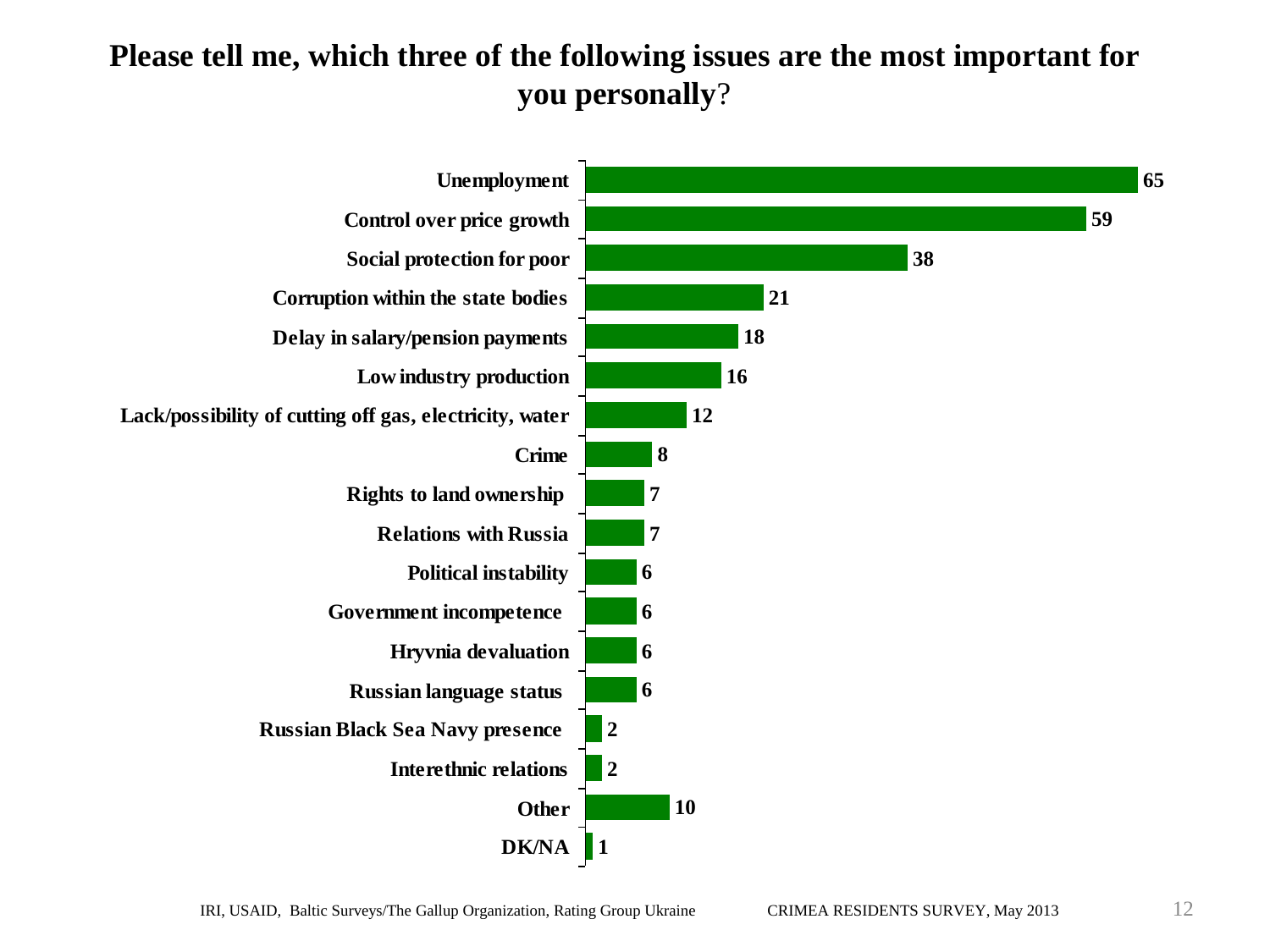#### **Please tell me, which three of the following issues are the most important for you personally**?

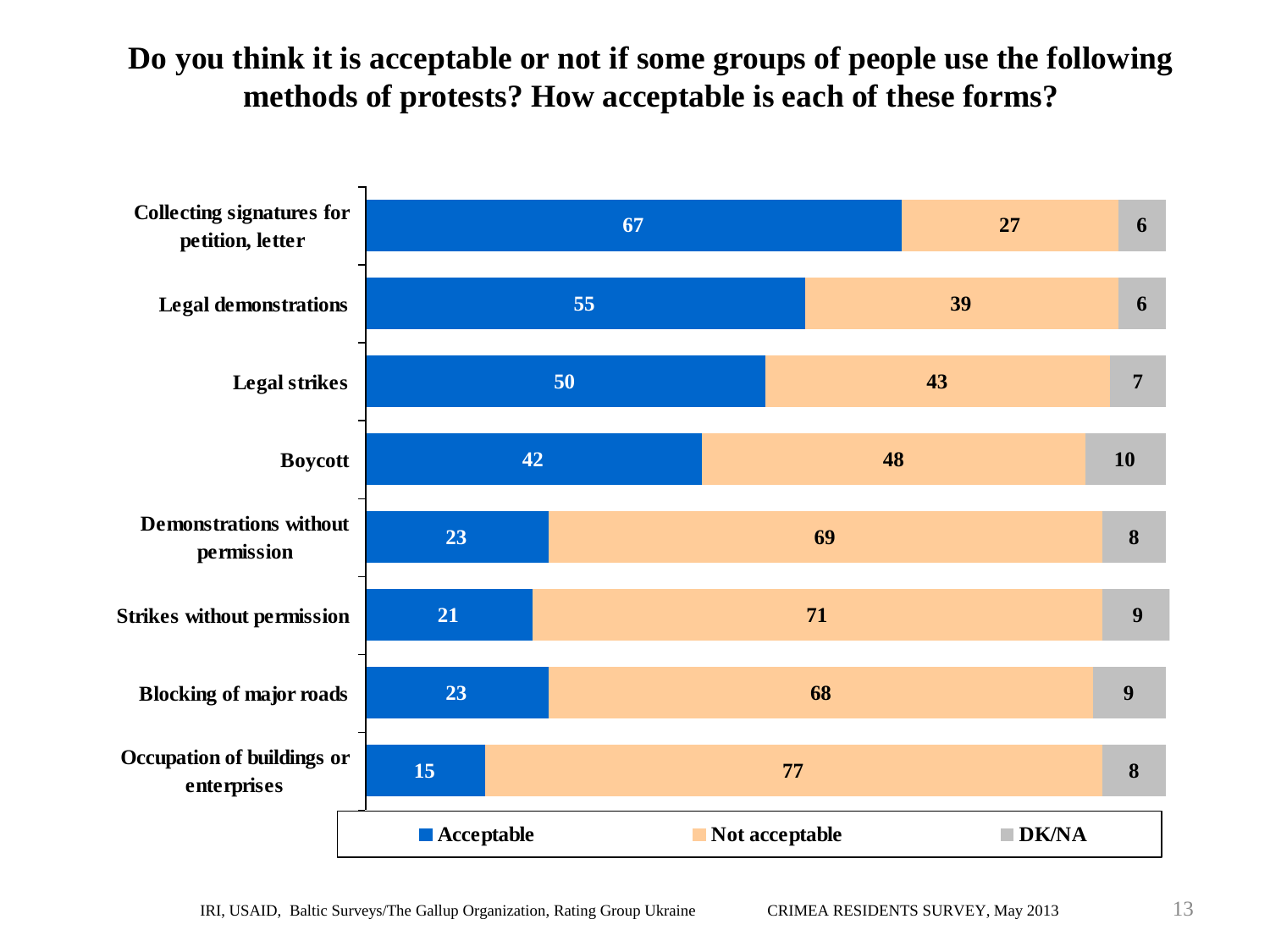#### **Do you think it is acceptable or not if some groups of people use the following methods of protests? How acceptable is each of these forms?**

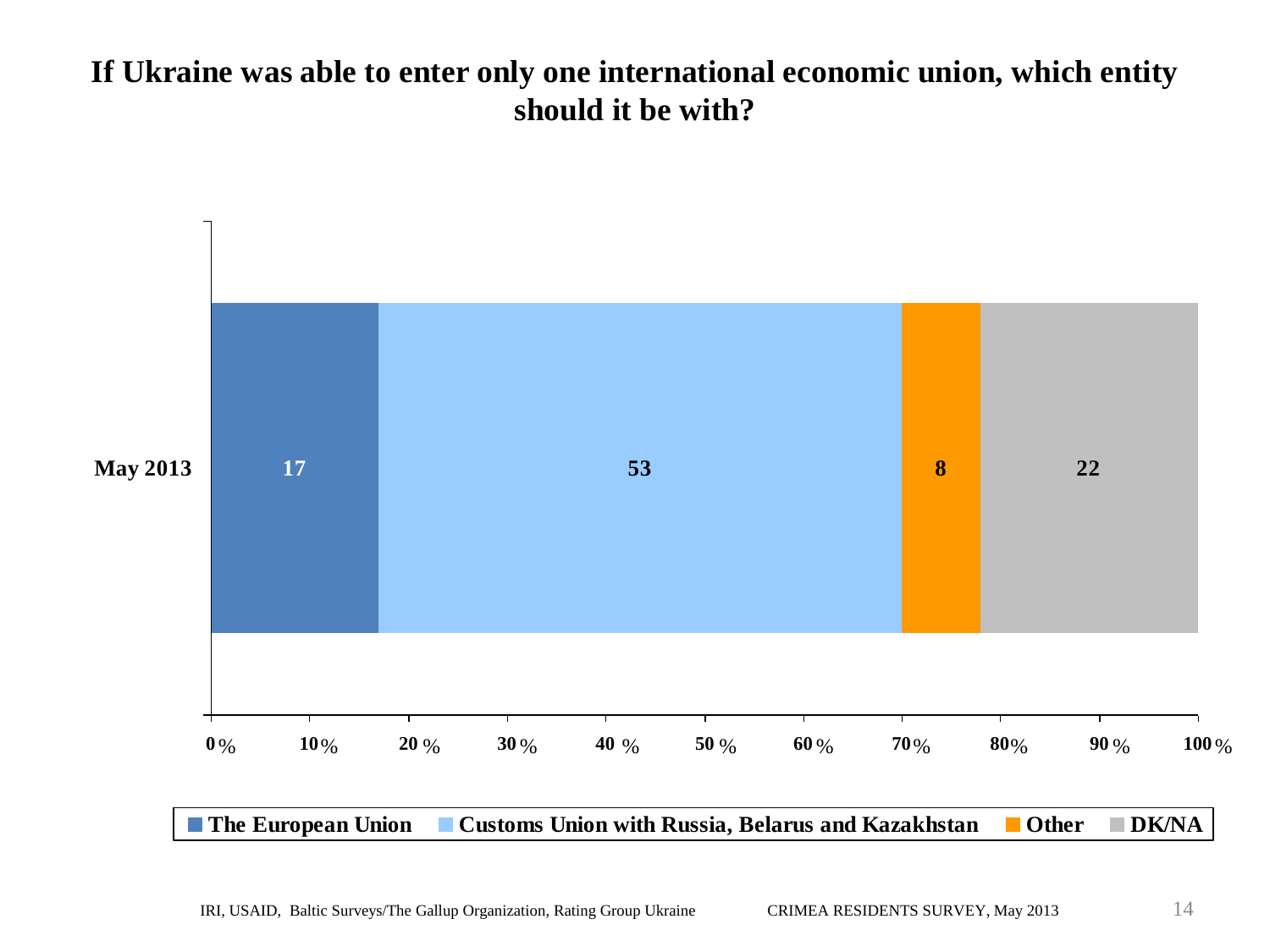#### **If Ukraine was able to enter only one international economic union, which entity should it be with?**

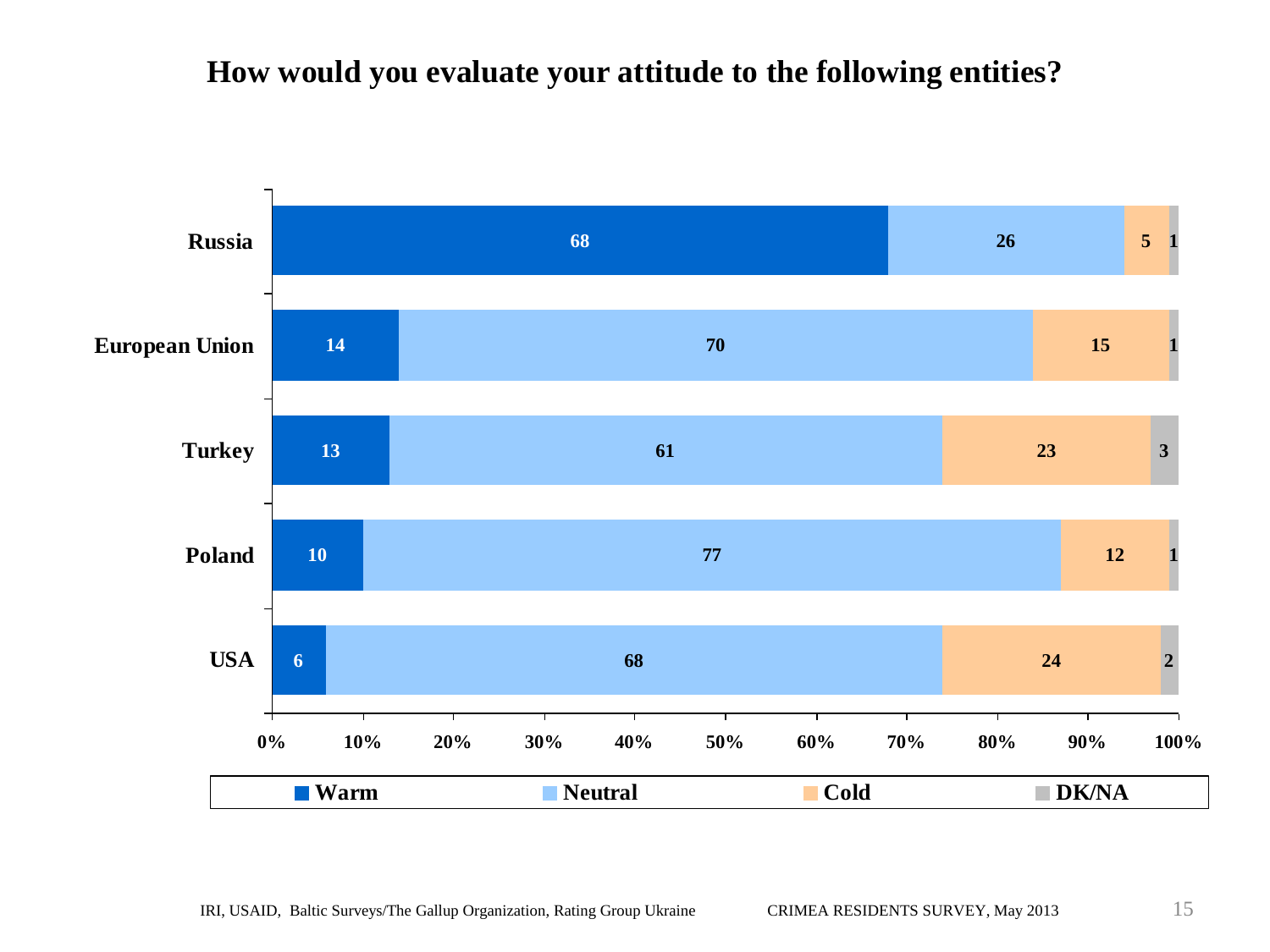#### **How would you evaluate your attitude to the following entities?**

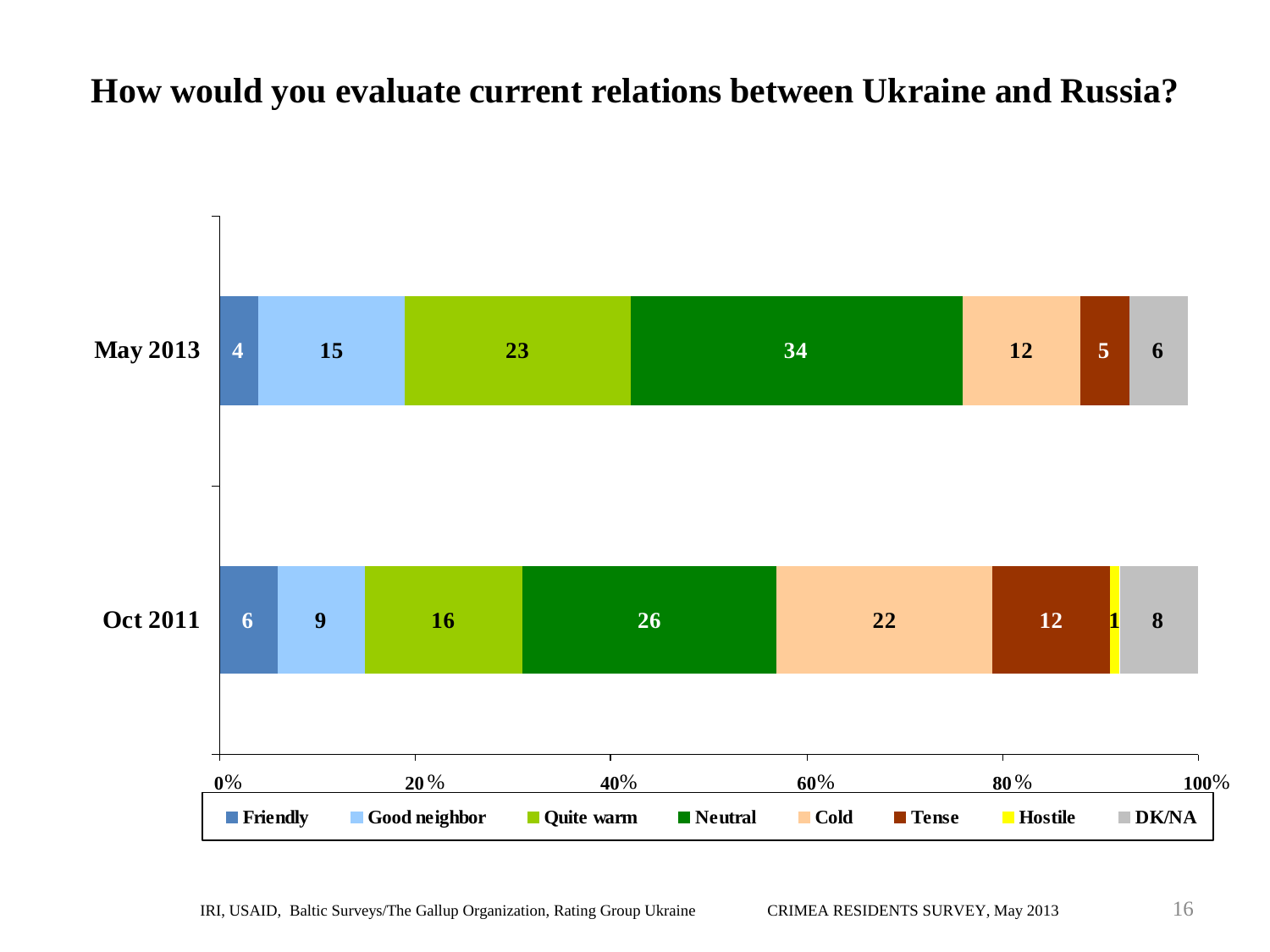### **How would you evaluate current relations between Ukraine and Russia?**

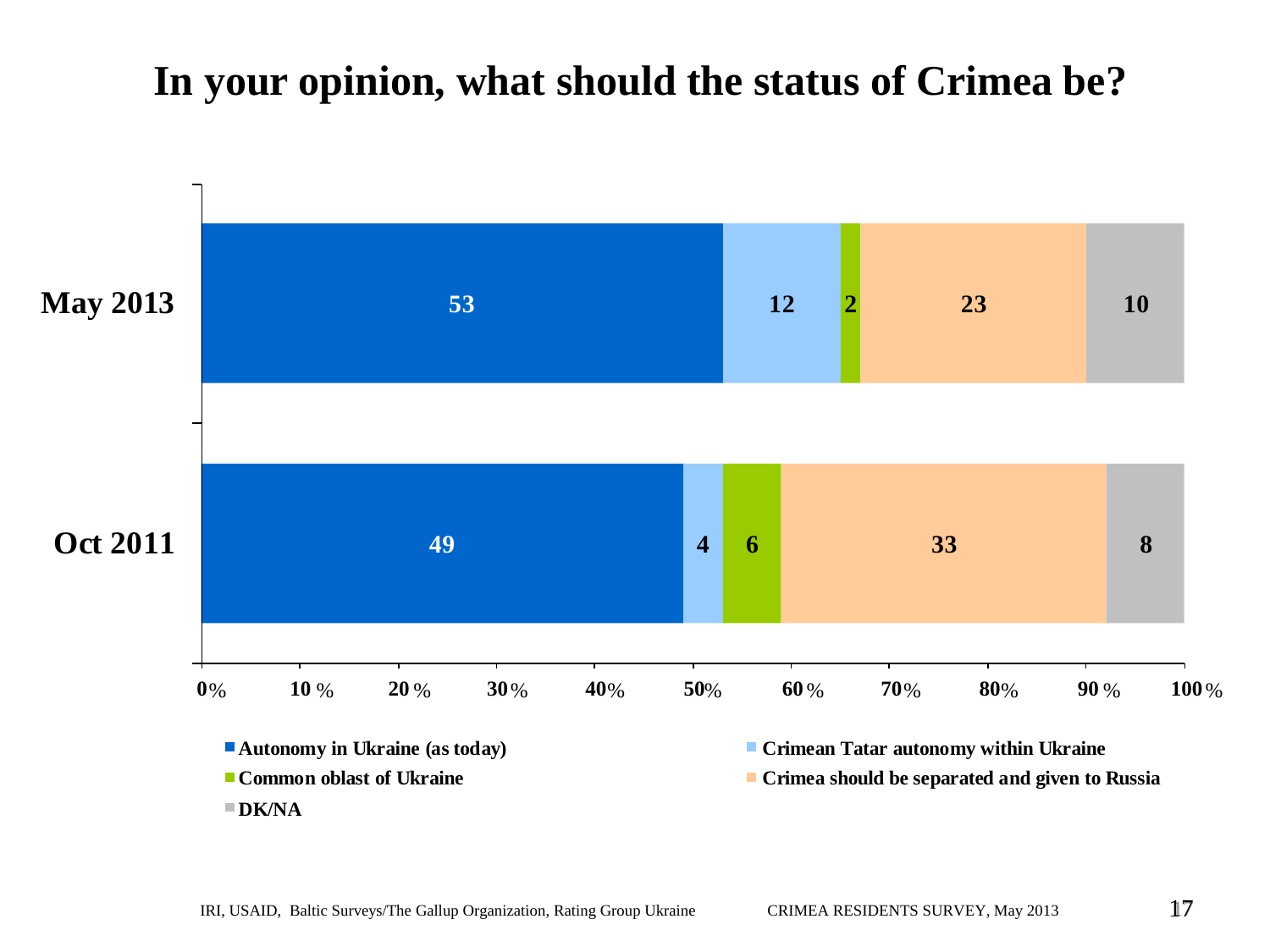## **In your opinion, what should the status of Crimea be?**

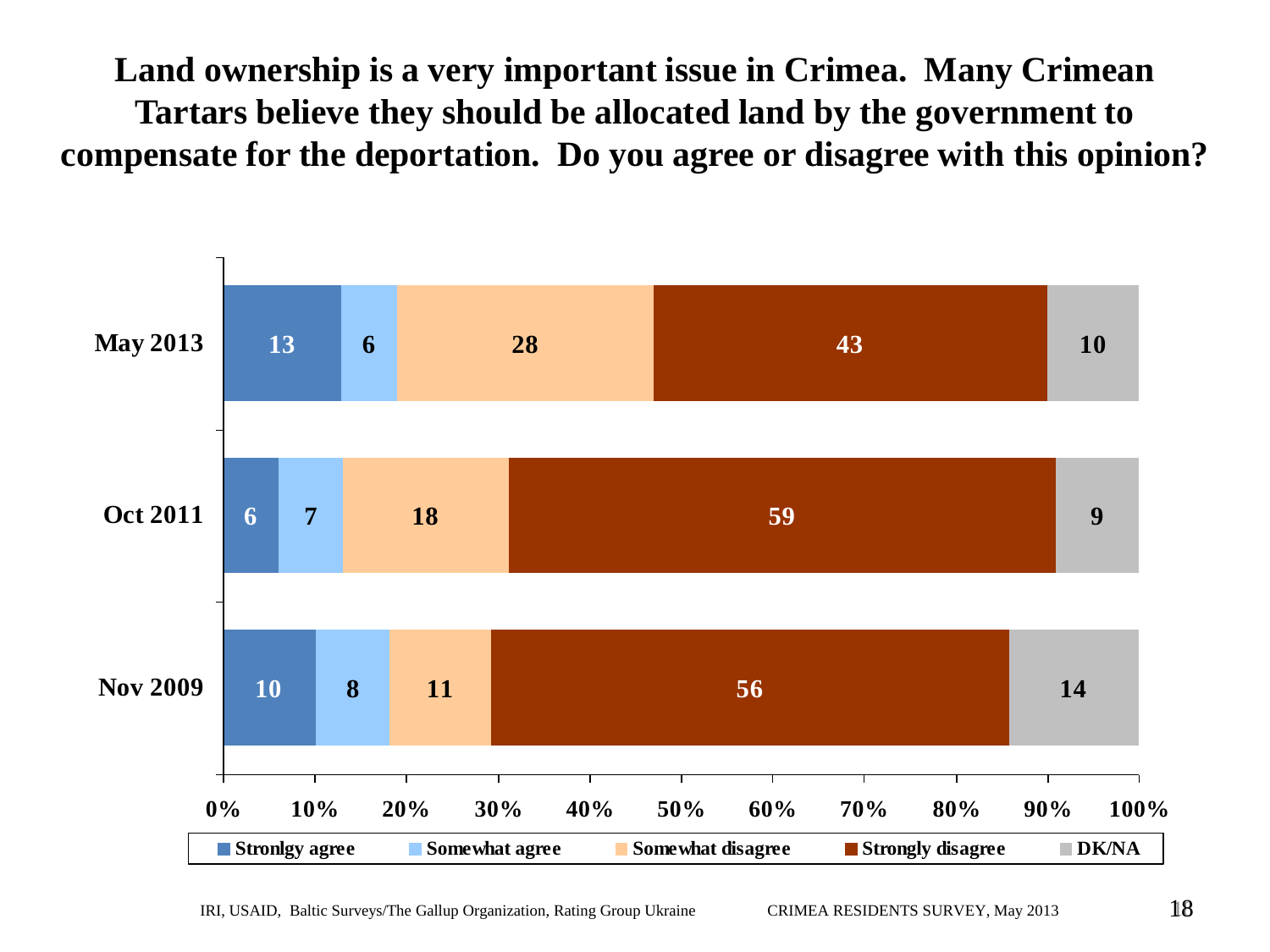**Land ownership is a very important issue in Crimea. Many Crimean Tartars believe they should be allocated land by the government to compensate for the deportation. Do you agree or disagree with this opinion?** 

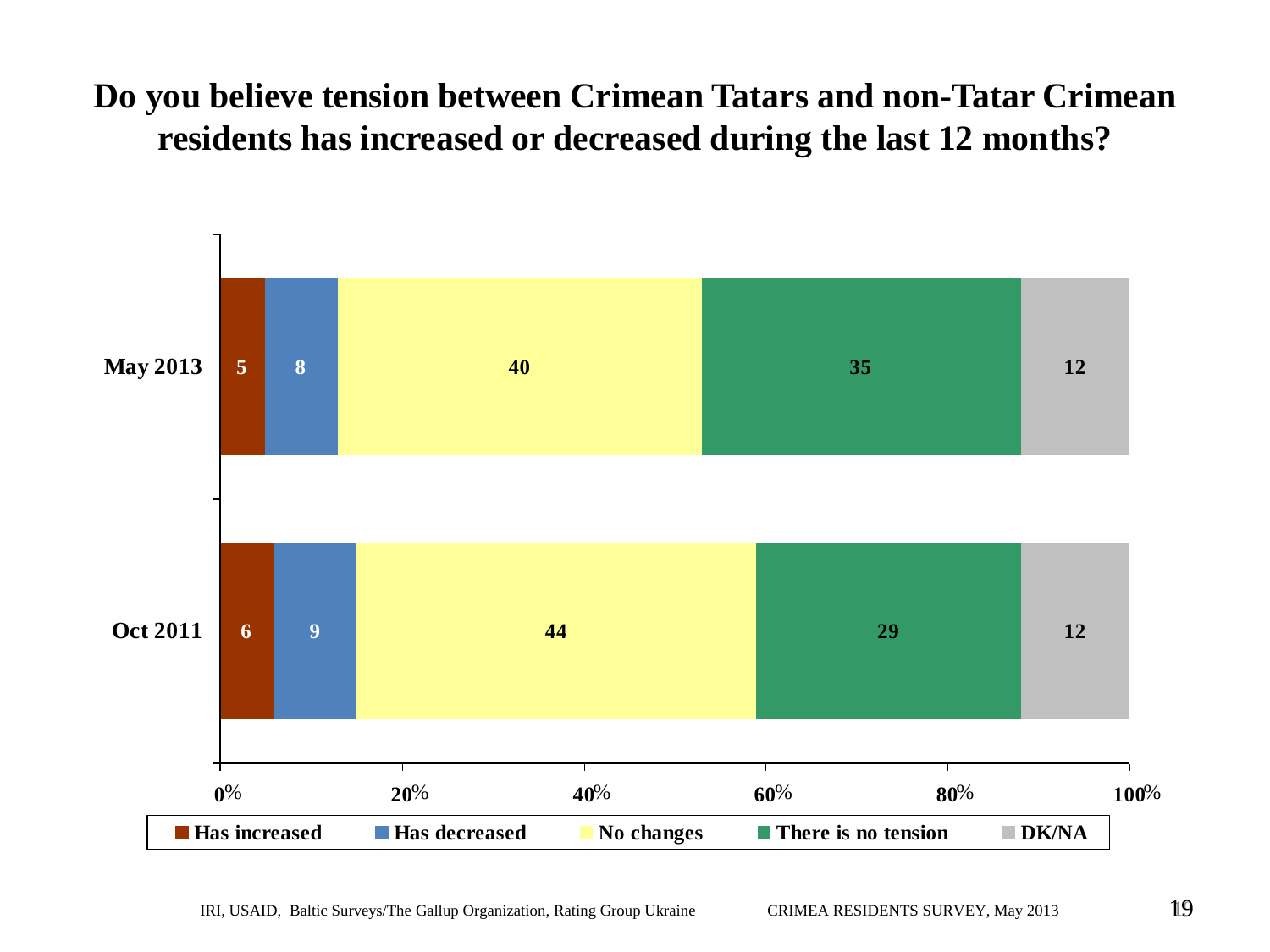## **Do you believe tension between Crimean Tatars and non-Tatar Crimean residents has increased or decreased during the last 12 months?**

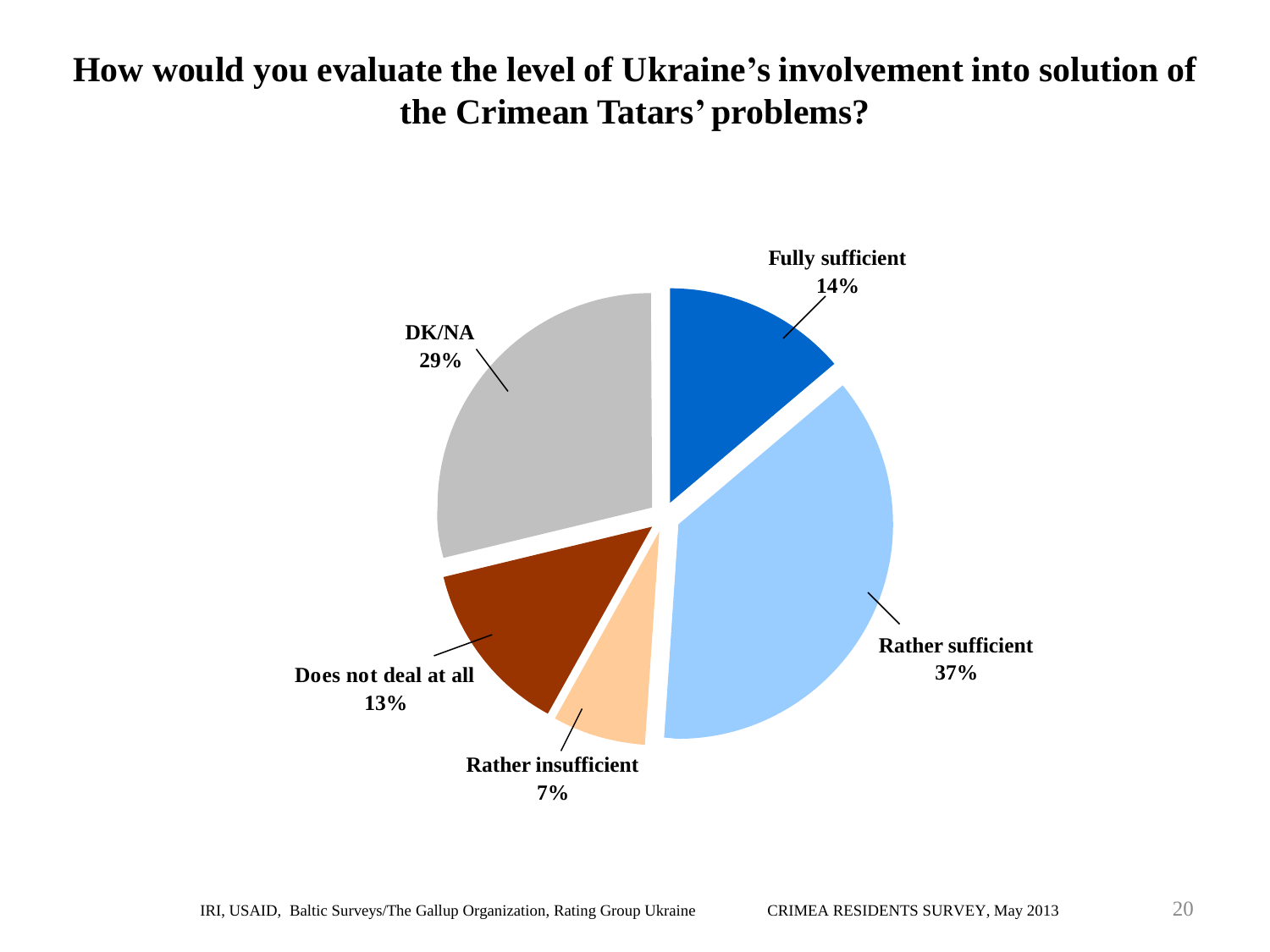### **How would you evaluate the level of Ukraine's involvement into solution of the Crimean Tatars' problems?**

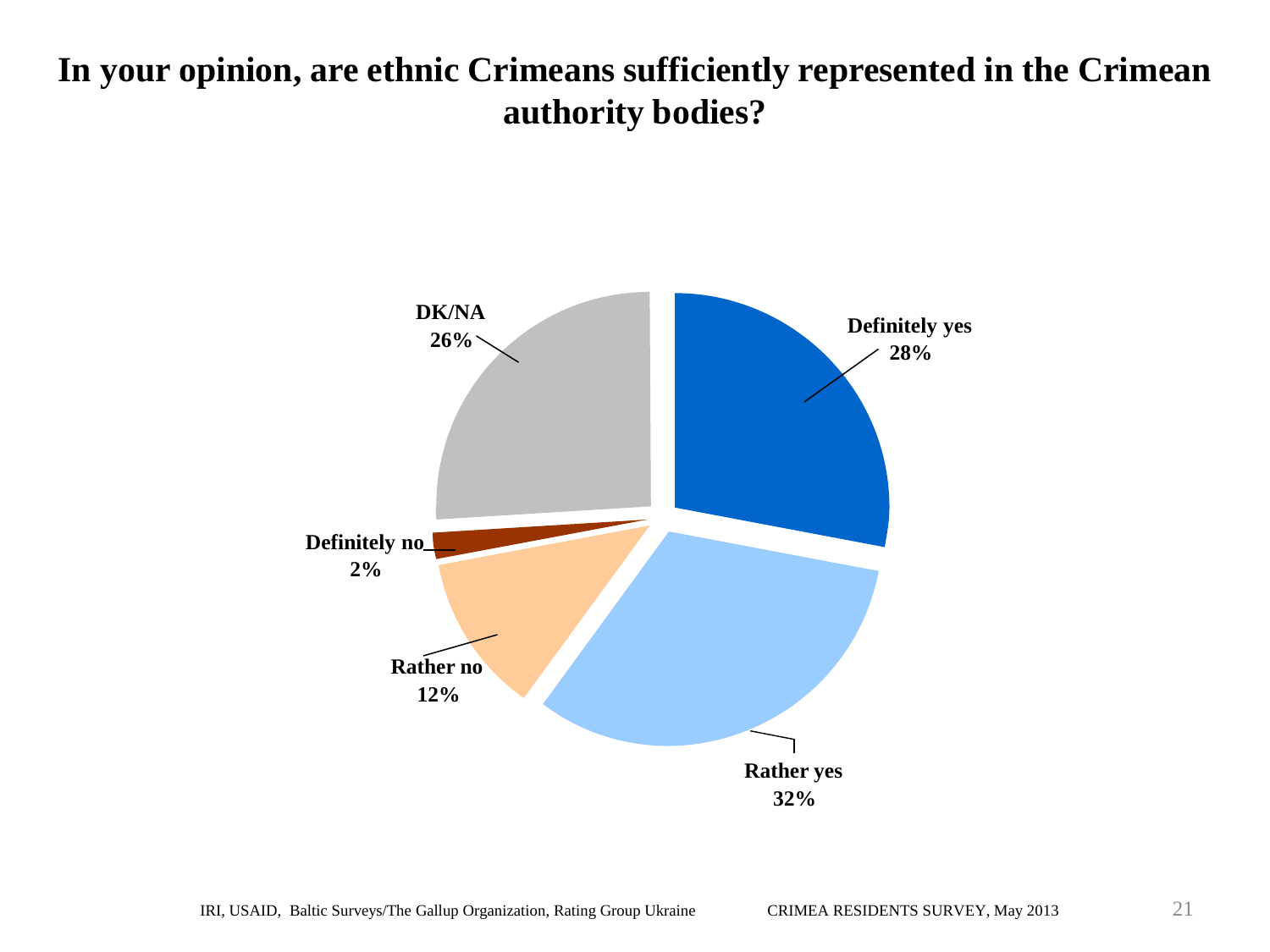### **In your opinion, are ethnic Crimeans sufficiently represented in the Crimean authority bodies?**

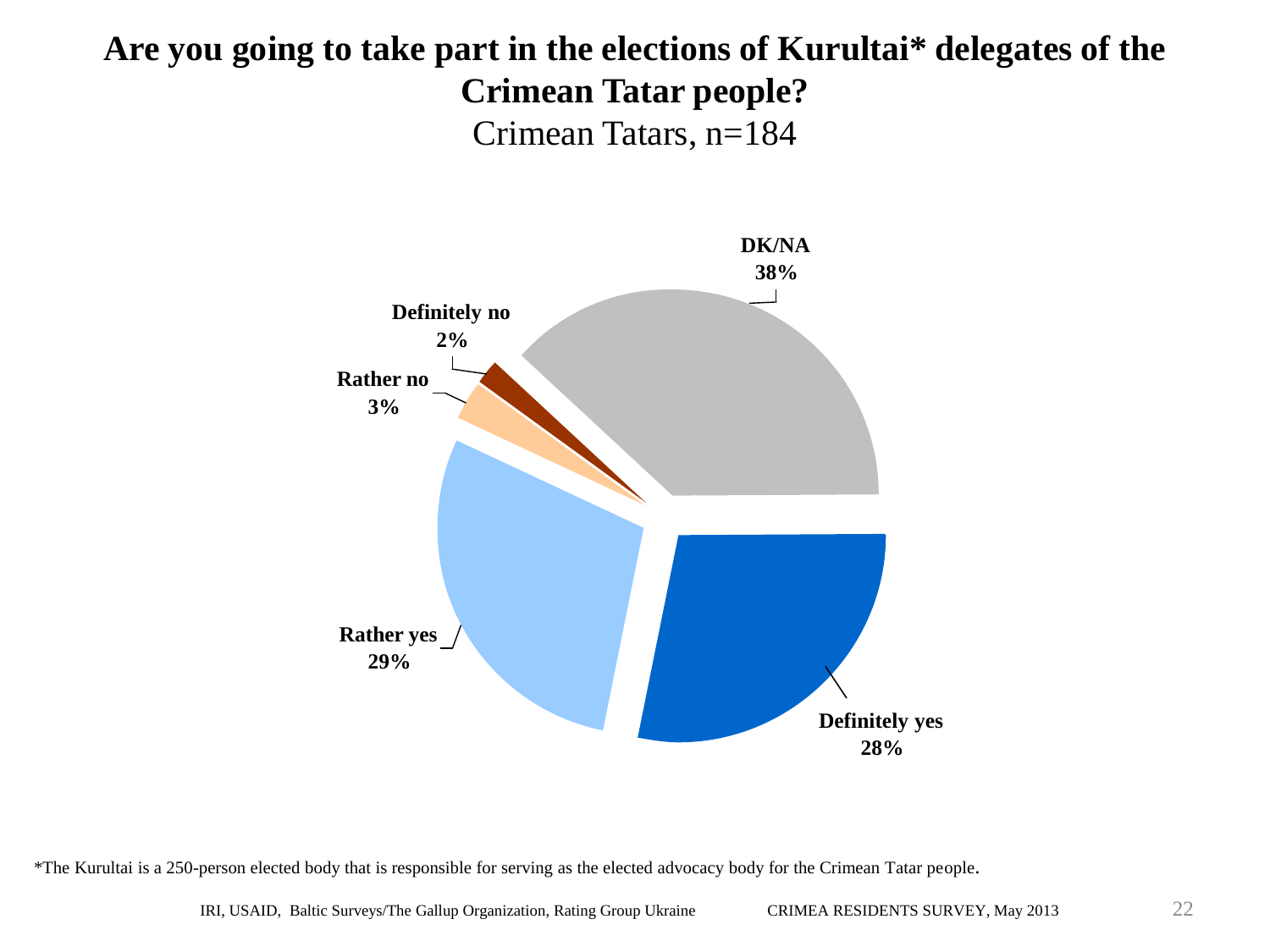### **Are you going to take part in the elections of Kurultai\* delegates of the Crimean Tatar people?** Crimean Tatars, n=184



\*The Kurultai is a 250-person elected body that is responsible for serving as the elected advocacy body for the Crimean Tatar people.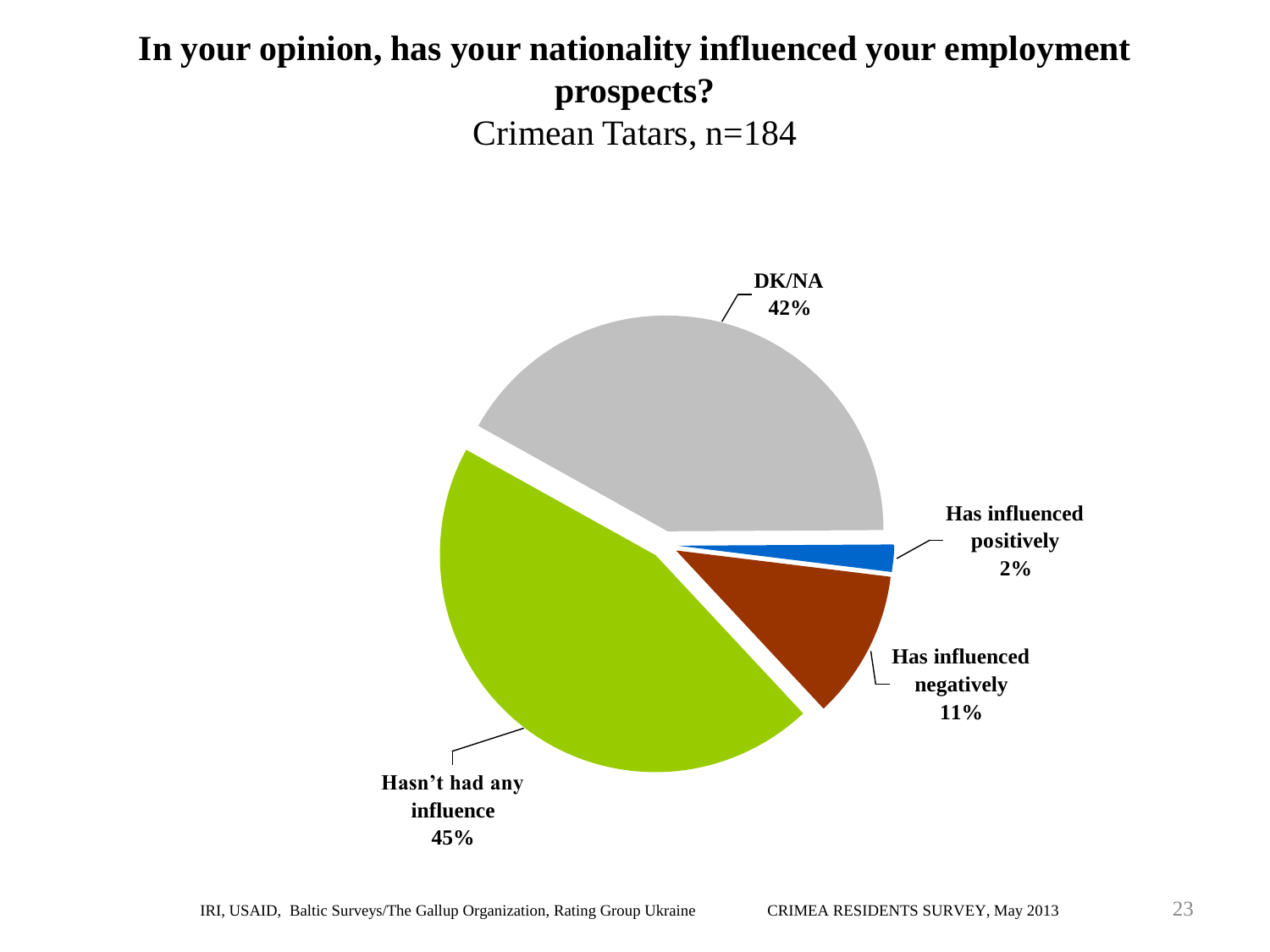## **In your opinion, has your nationality influenced your employment prospects?** Crimean Tatars, n=184

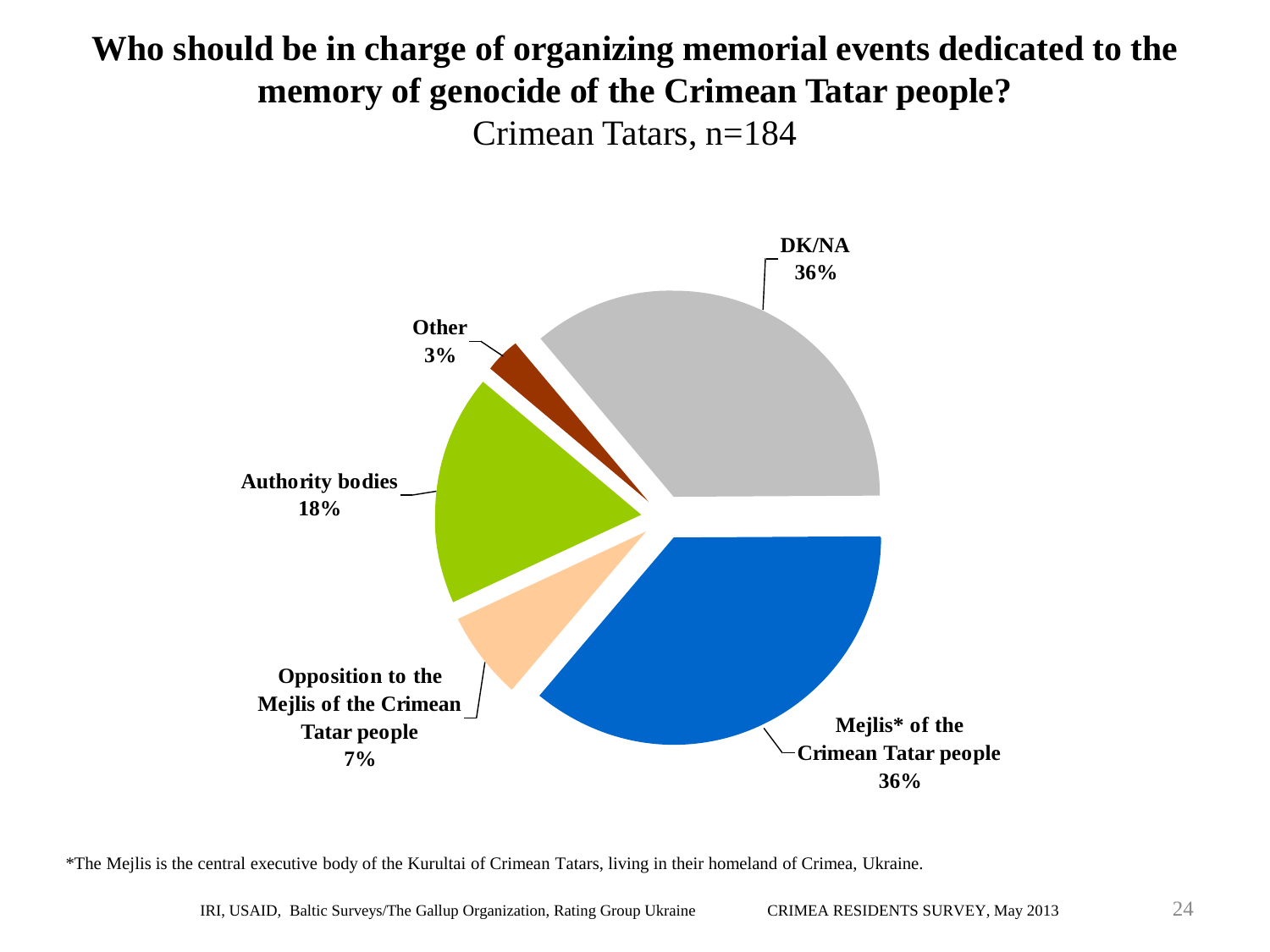### **Who should be in charge of organizing memorial events dedicated to the memory of genocide of the Crimean Tatar people?** Crimean Tatars, n=184



\*The Mejlis is the central executive body of the Kurultai of Crimean Tatars, living in their homeland of Crimea, Ukraine.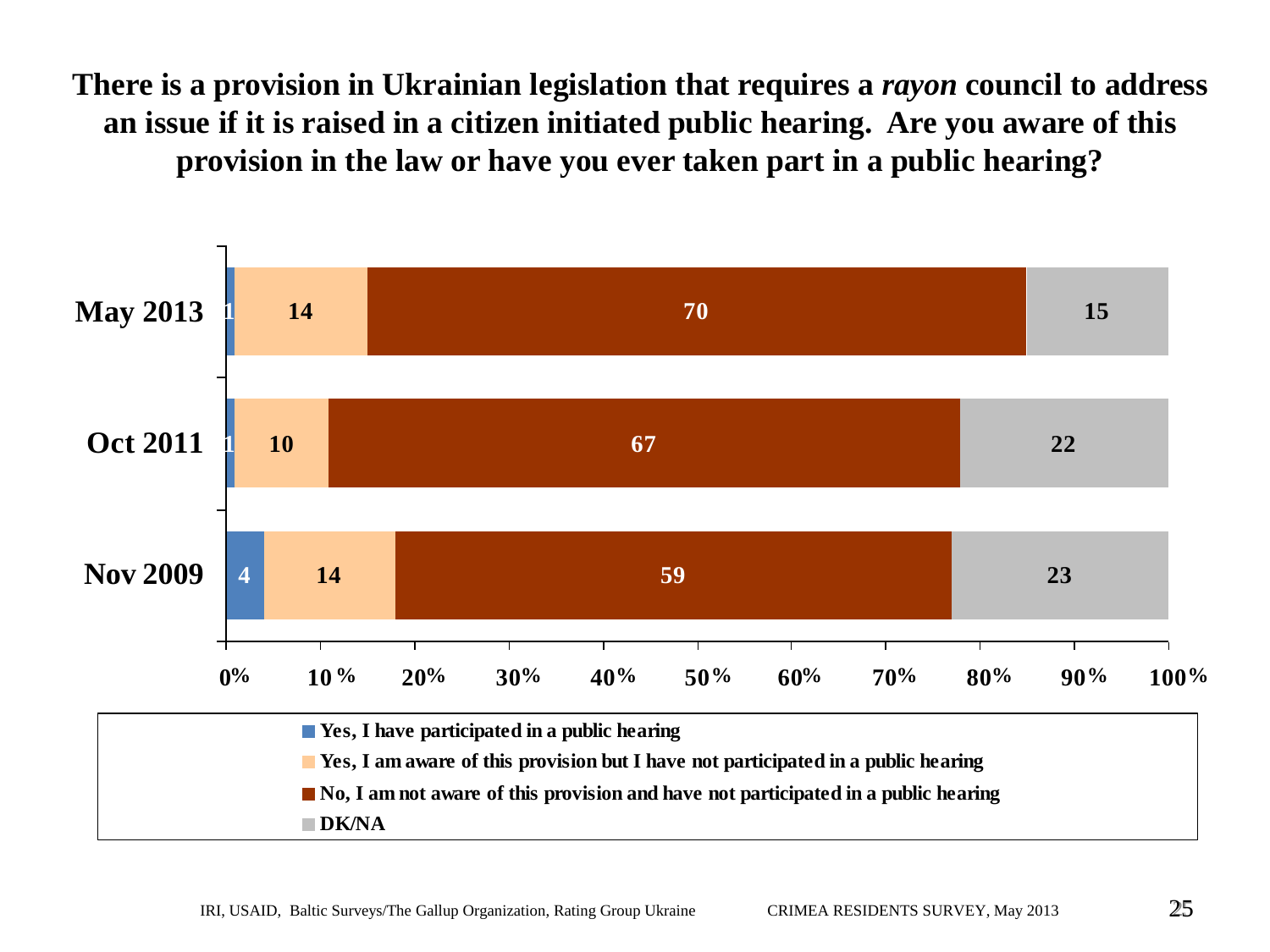**There is a provision in Ukrainian legislation that requires a** *rayon* **council to address an issue if it is raised in a citizen initiated public hearing. Are you aware of this provision in the law or have you ever taken part in a public hearing?** 

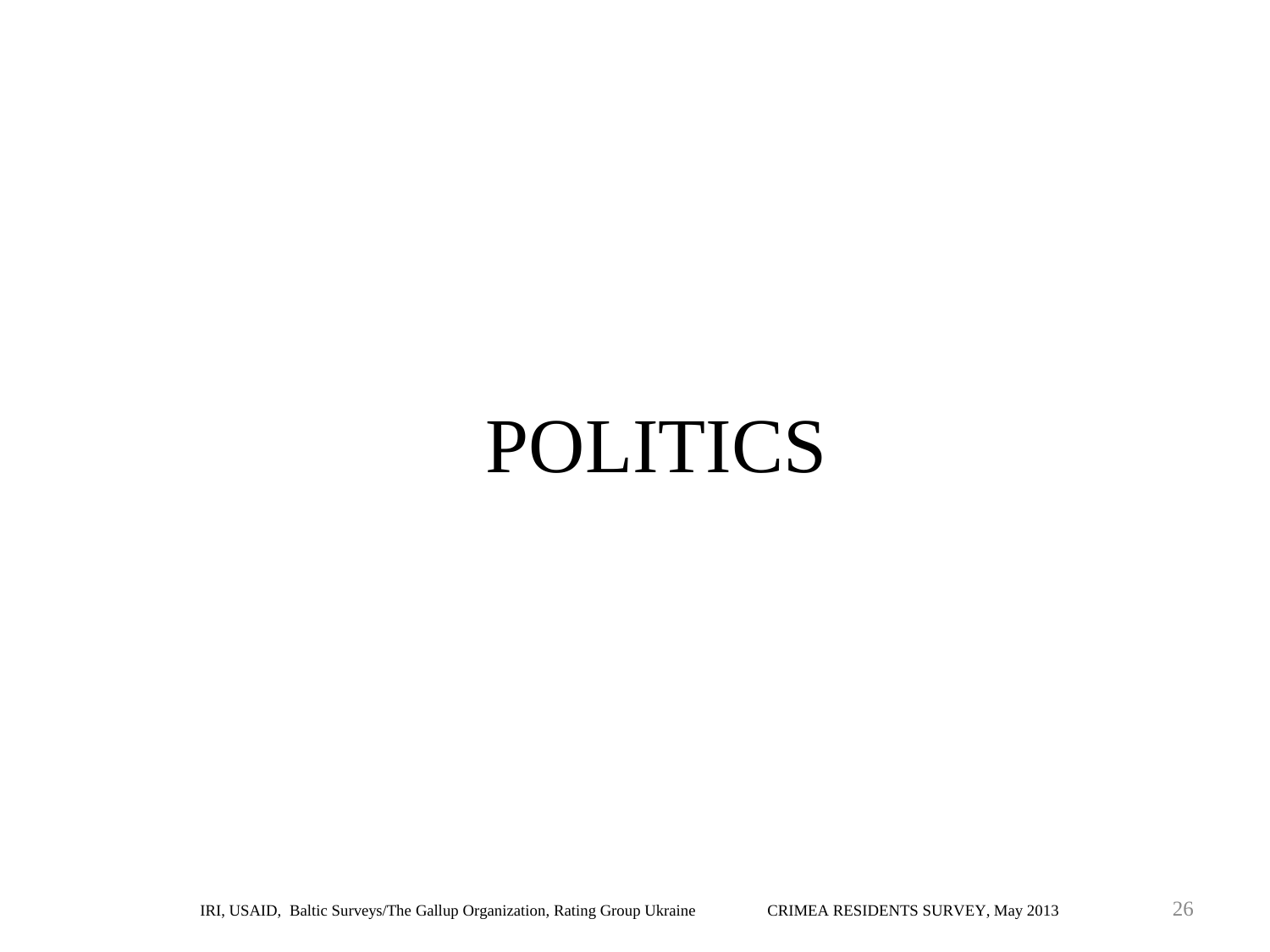## POLITICS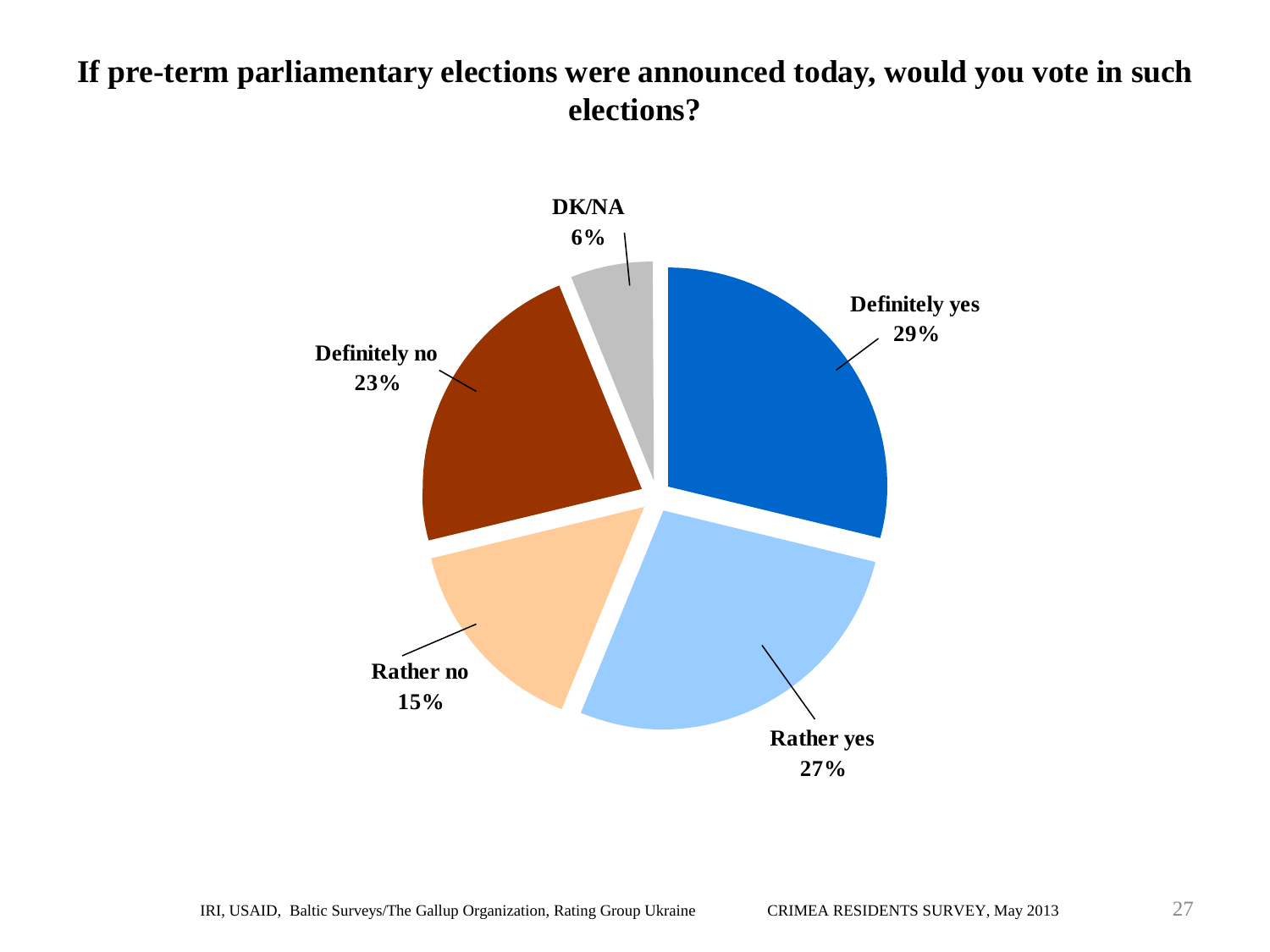#### **If pre-term parliamentary elections were announced today, would you vote in such elections?**

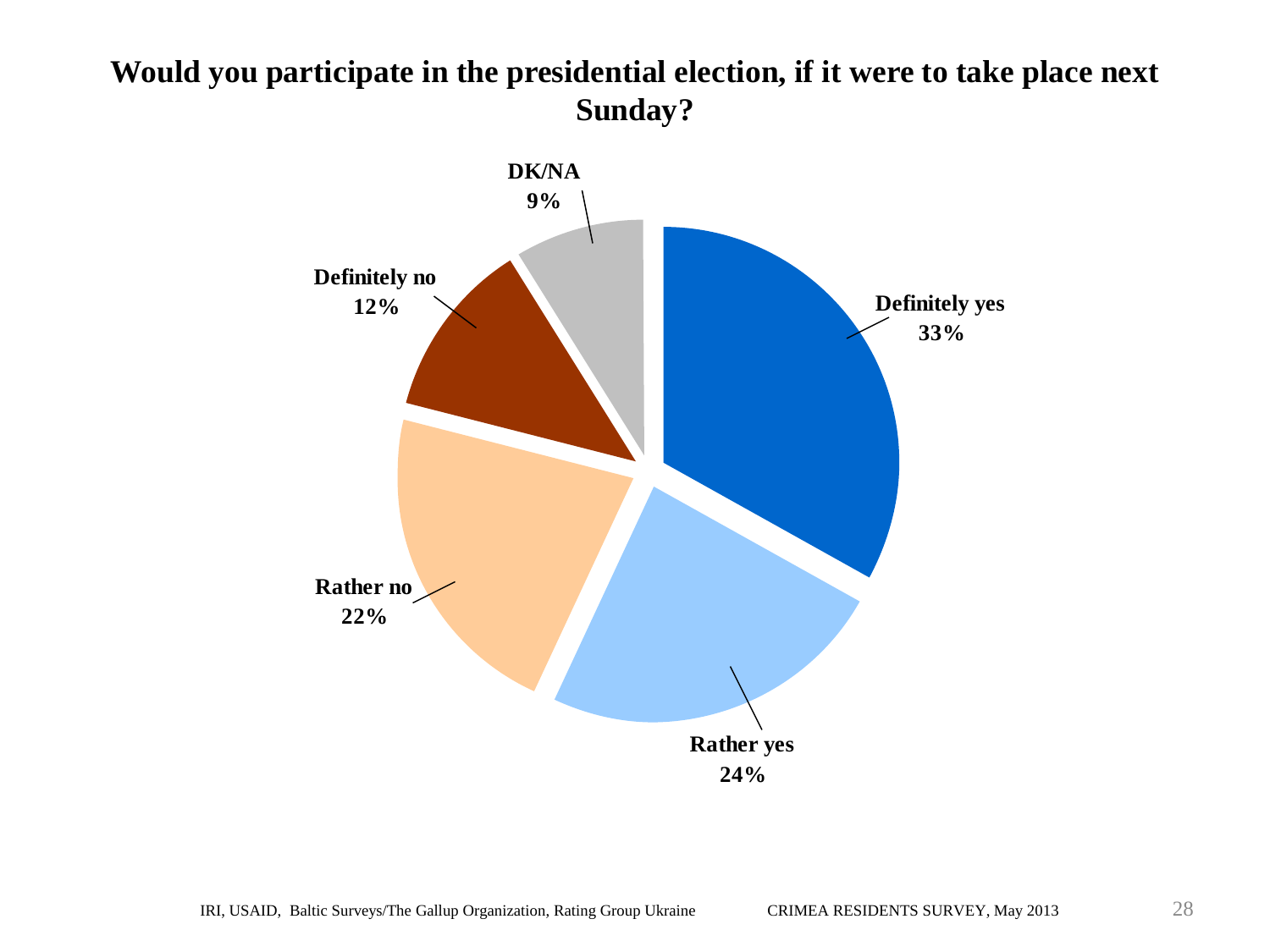#### **Would you participate in the presidential election, if it were to take place next Sunday?**

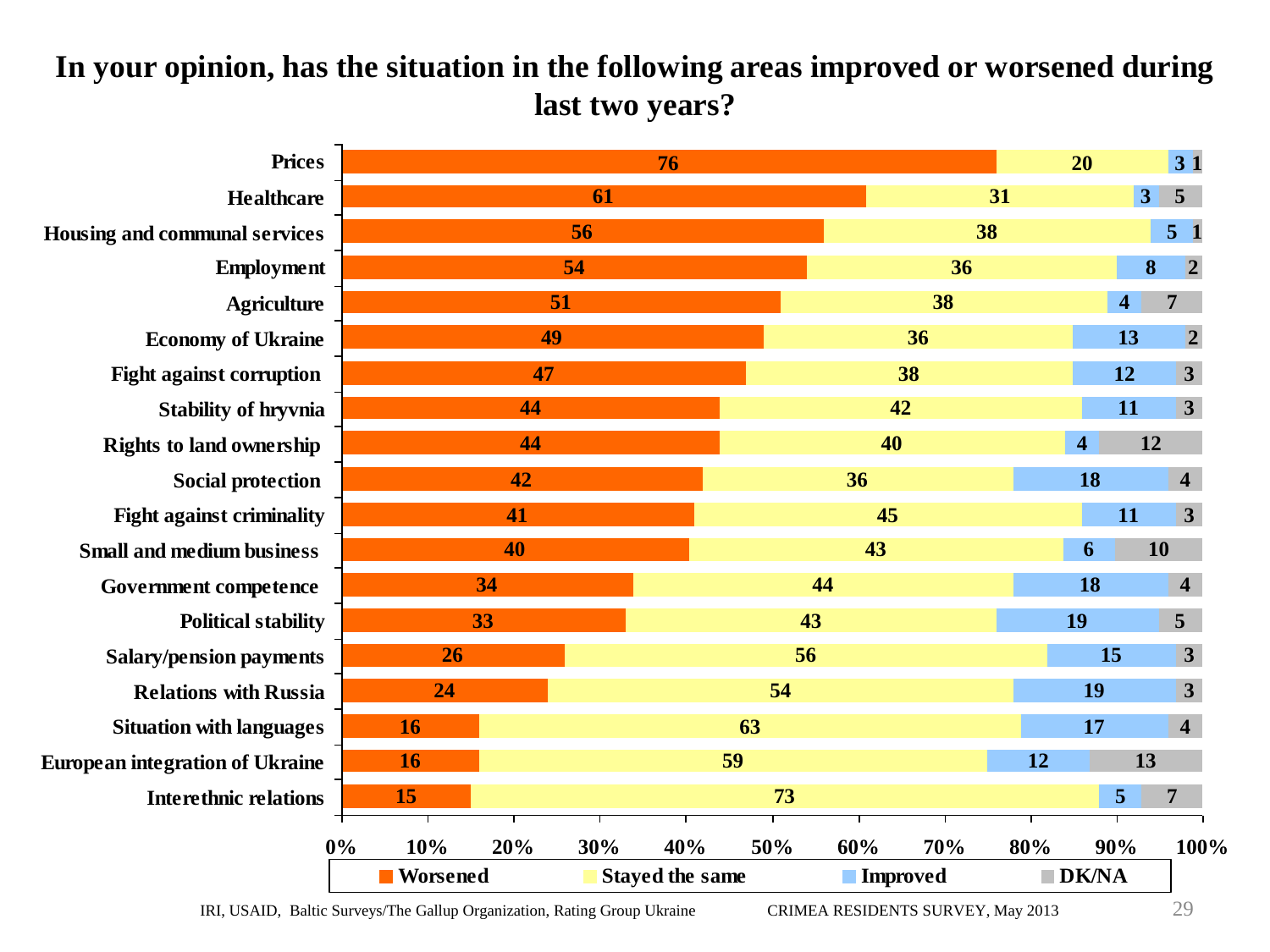#### **In your opinion, has the situation in the following areas improved or worsened during last two years?**

| <b>Prices</b><br>76  |                 |     |                                               |     |     |     |     |                         | 20                  |                         | 31                                                  |
|----------------------|-----------------|-----|-----------------------------------------------|-----|-----|-----|-----|-------------------------|---------------------|-------------------------|-----------------------------------------------------|
|                      | 61              |     |                                               |     |     |     |     |                         |                     | 5 <sup>5</sup>          |                                                     |
|                      | 56              |     |                                               |     |     | 38  |     |                         |                     |                         | 5 <sub>1</sub>                                      |
| Employment           | 54              |     |                                               |     |     | 36  |     |                         |                     | 8                       | $\overline{2}$                                      |
| <b>Agriculture</b>   | 51              |     |                                               |     |     | 38  |     |                         |                     | 4                       | 7                                                   |
|                      | 49              |     |                                               |     | 36  |     |     |                         |                     | 13                      | $\overline{2}$                                      |
|                      |                 |     |                                               | 38  |     |     |     |                         | 12                  | $\overline{\mathbf{3}}$ |                                                     |
| Stability of hryvnia |                 |     |                                               | 42  |     |     |     |                         | 11                  | 3                       |                                                     |
|                      |                 |     |                                               | 40  |     |     |     | $\overline{\mathbf{4}}$ | 12                  |                         |                                                     |
|                      |                 |     |                                               | 36  |     |     |     | 18                      |                     | $\overline{\mathbf{4}}$ |                                                     |
|                      |                 |     |                                               | 45  |     |     |     |                         | 11                  | $\mathbf{3}$            |                                                     |
|                      |                 |     |                                               | 43  |     |     |     | 10<br>6                 |                     |                         |                                                     |
|                      |                 |     | 44                                            |     |     |     |     | 18                      |                     | $\overline{\mathbf{4}}$ |                                                     |
|                      | 33              |     |                                               |     | 43  |     |     |                         | 19                  |                         | 5 <sup>1</sup>                                      |
|                      | 26              |     |                                               | 56  |     |     |     |                         |                     | $\mathbf{3}$            |                                                     |
|                      | 24              |     |                                               |     | 54  |     |     |                         | 19                  |                         | $\mathbf{3}$                                        |
|                      | 16              |     |                                               |     | 63  |     |     |                         | 17                  |                         | $\overline{\mathbf{4}}$                             |
|                      | 16              |     |                                               | 59  |     |     |     | 12                      | 13                  |                         |                                                     |
|                      | 15              |     | 73                                            |     |     |     |     |                         | 5<br>$\overline{7}$ |                         |                                                     |
|                      |                 |     |                                               |     |     |     |     |                         |                     |                         | 100%                                                |
|                      | <b>Norsened</b> |     | <b>Stayed the same</b>                        |     |     |     |     |                         |                     |                         |                                                     |
|                      | 0%              | 10% | 47<br>44<br>44<br>42<br>41<br>40<br>34<br>20% | 30% | 40% | 50% | 60% | 70%<br><b>Improved</b>  | 31<br>80%           |                         | 3 <sup>1</sup><br>15<br>90%<br>$\blacksquare$ DK/NA |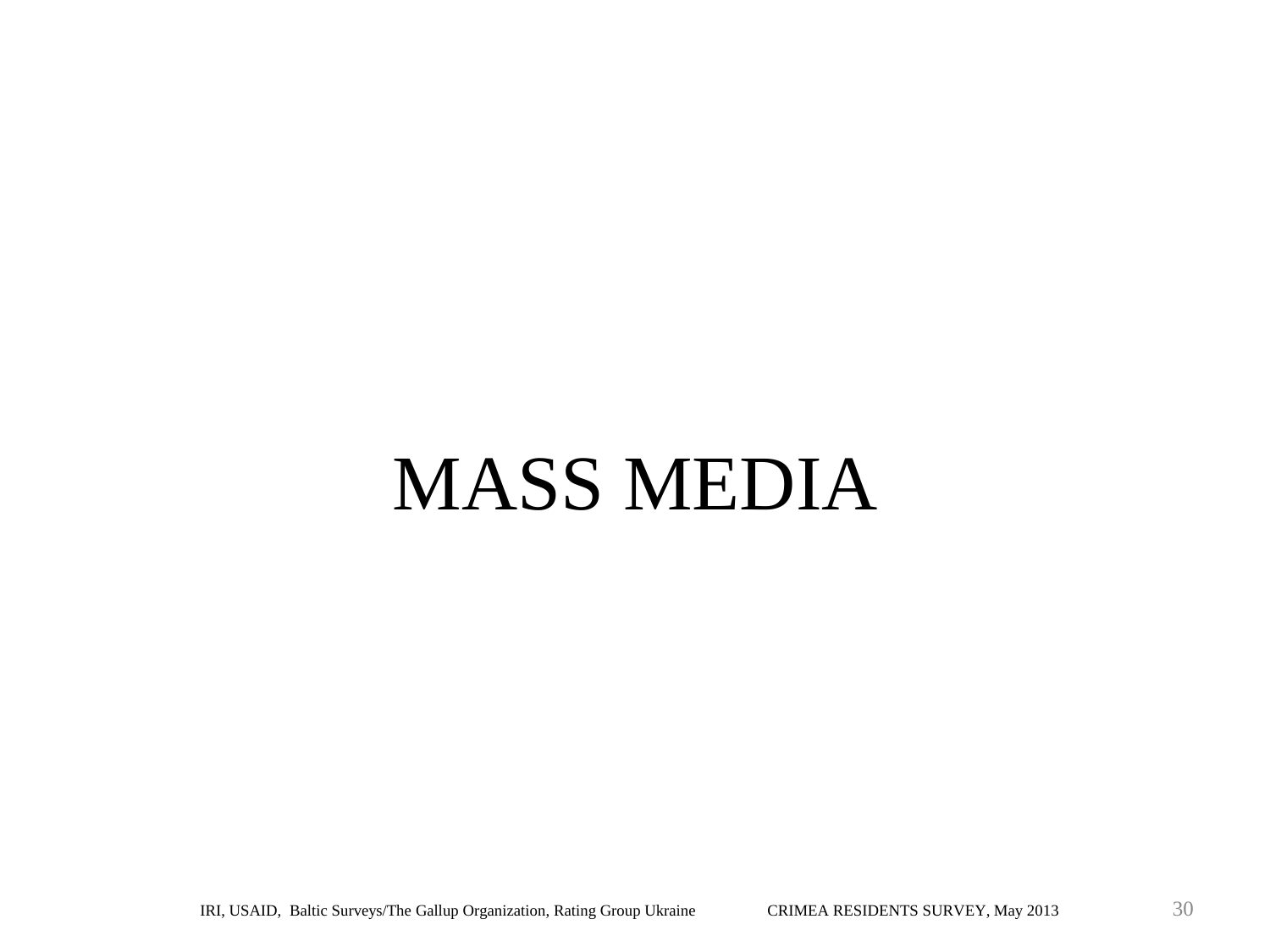# MASS MEDIA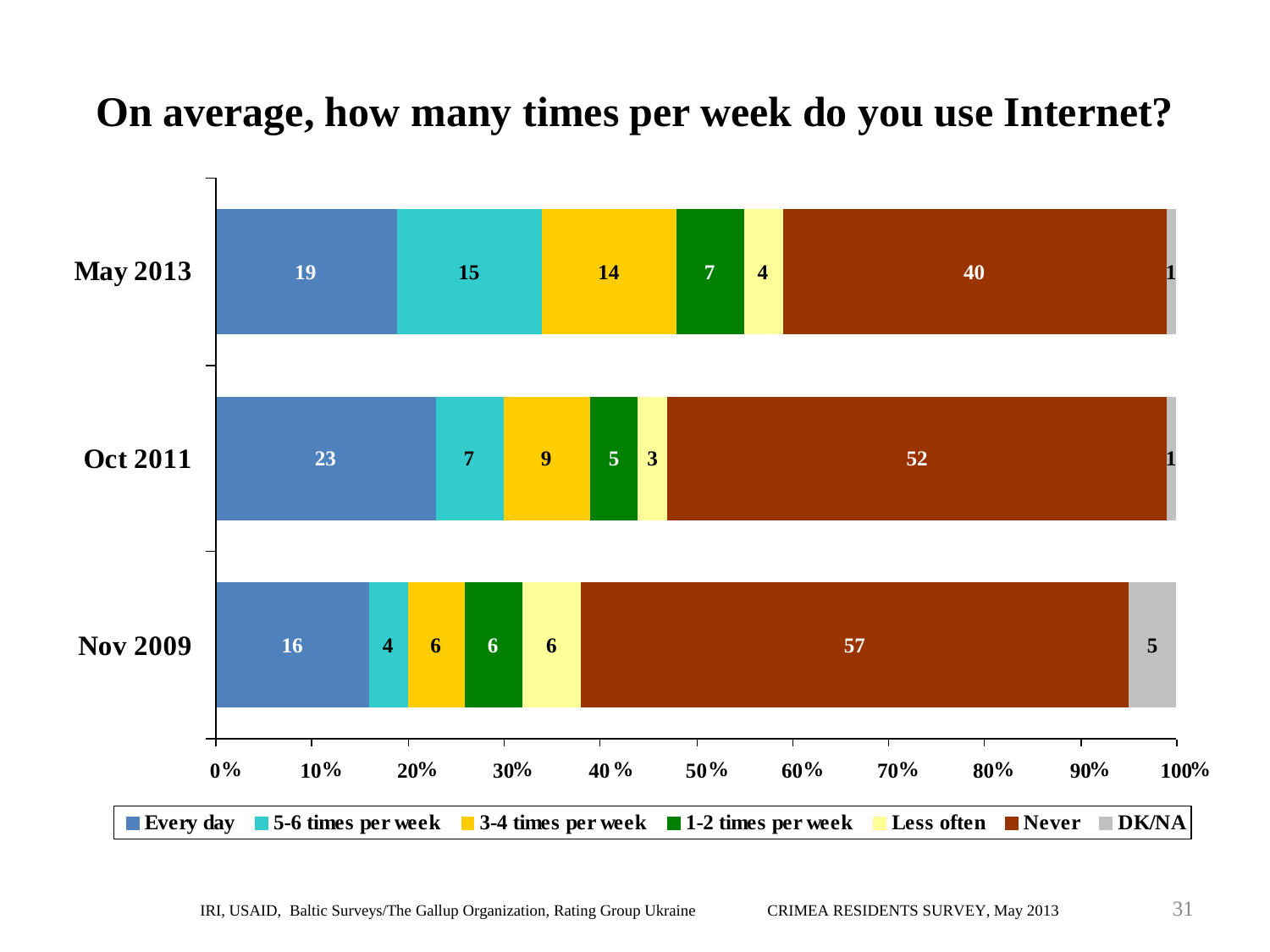## **On average, how many times per week do you use Internet?**

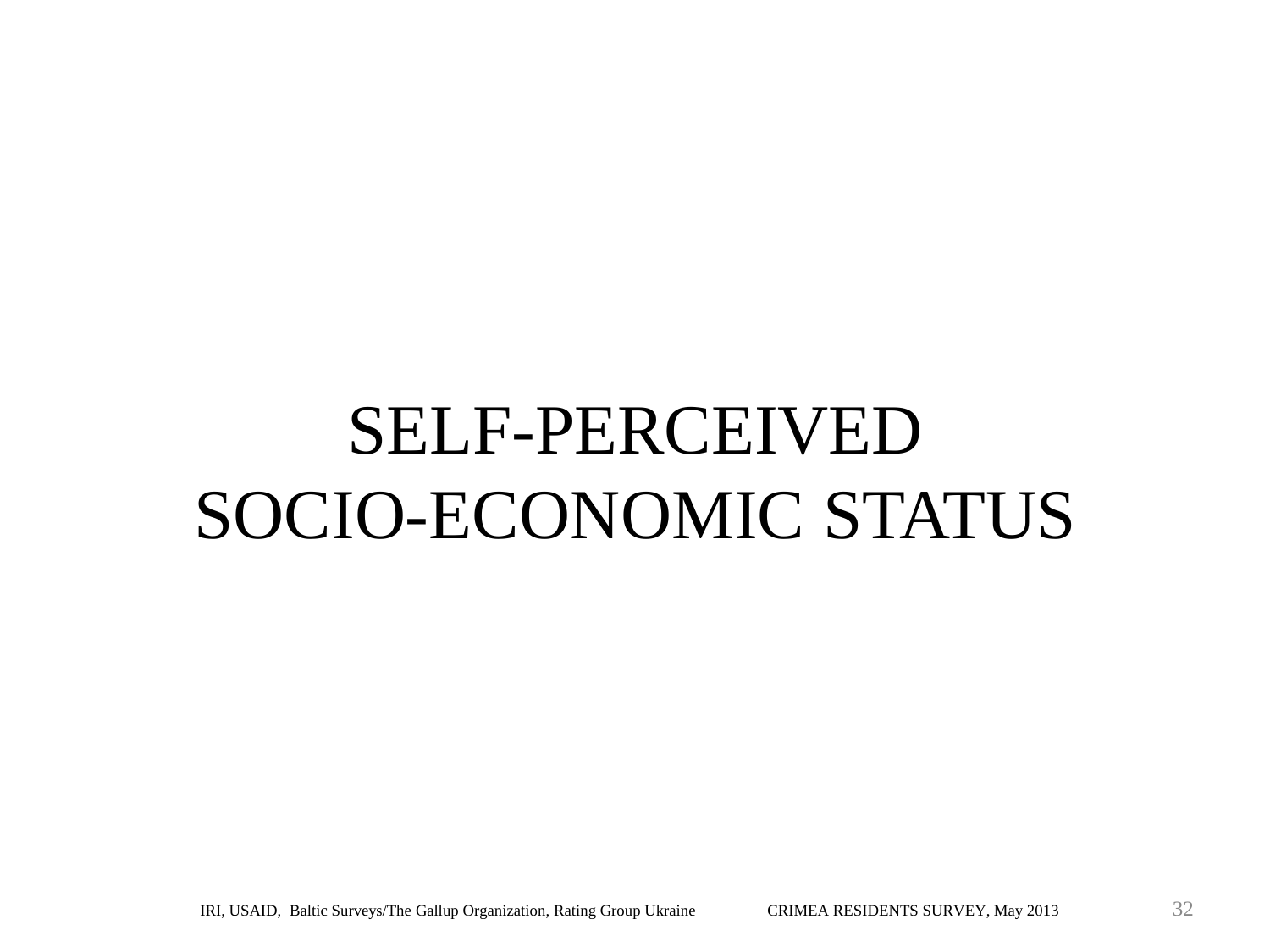# SELF-PERCEIVED SOCIO-ECONOMIC STATUS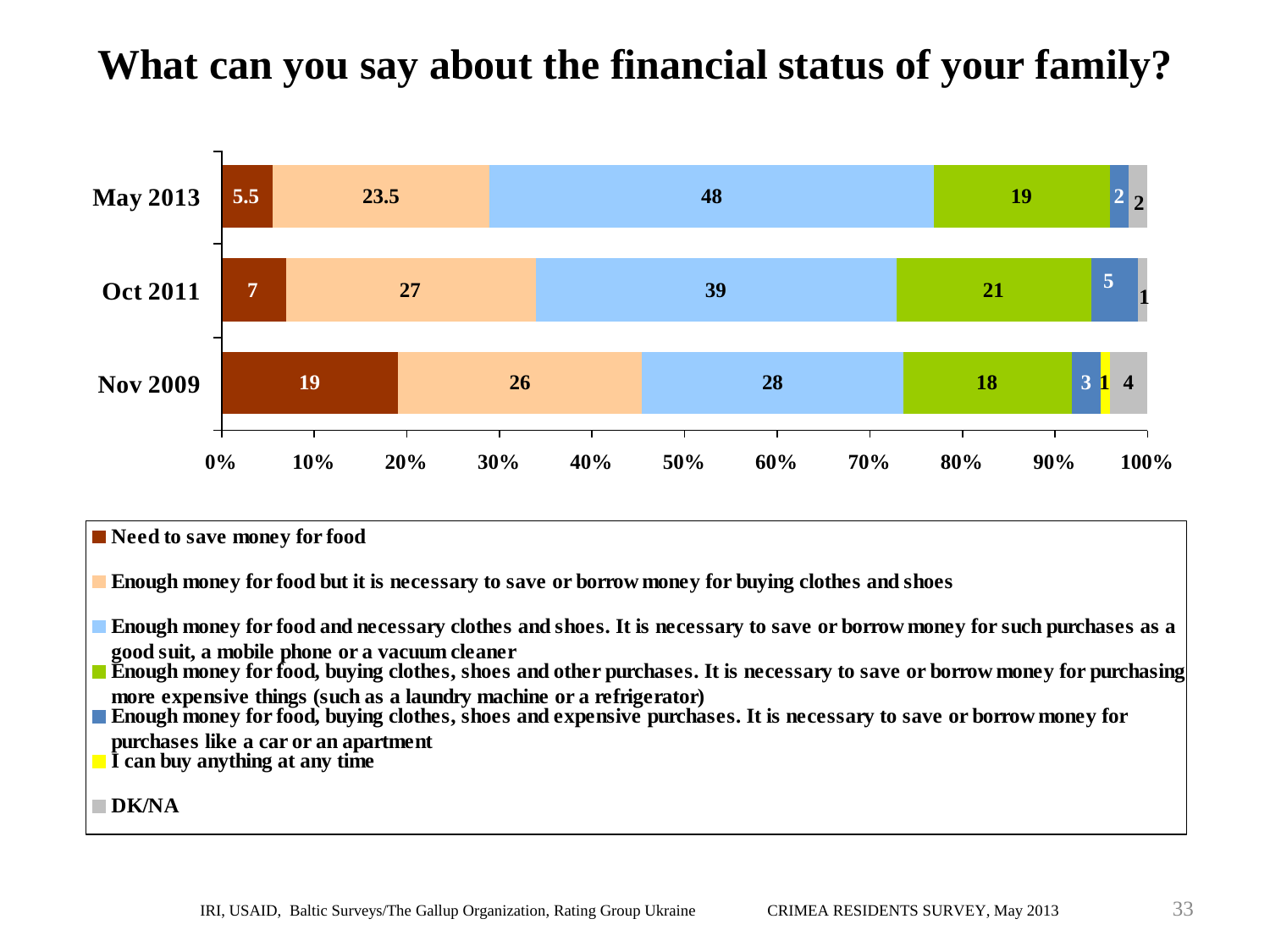## **What can you say about the financial status of your family?**



■ Need to save money for food **Enough money for food but it is necessary to save or borrow money for buying clothes and shoes Enough money for food and necessary clothes and shoes. It is necessary to save or borrow money for such purchases as a good suit, a mobile phone or a vacuum cleaner Enough money for food, buying clothes, shoes and other purchases. It is necessary to save or borrow money for purchasing more expensive things (such as a laundry machine or a refrigerator) Enough money for food, buying clothes, shoes and expensive purchases. It is necessary to save or borrow money for purchases like a car or an apartment I can buy anything at any time DK/NA**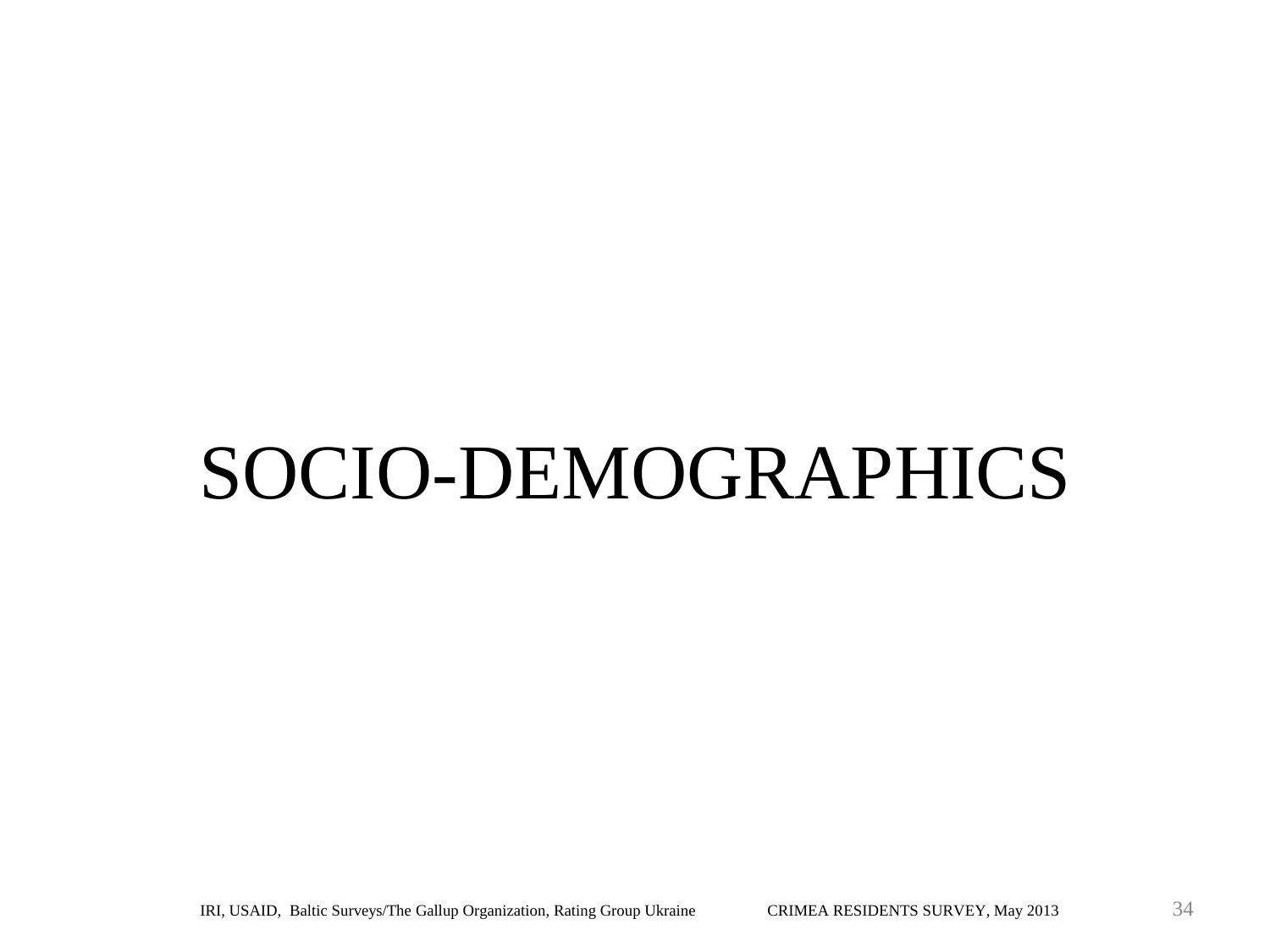# SOCIO-DEMOGRAPHICS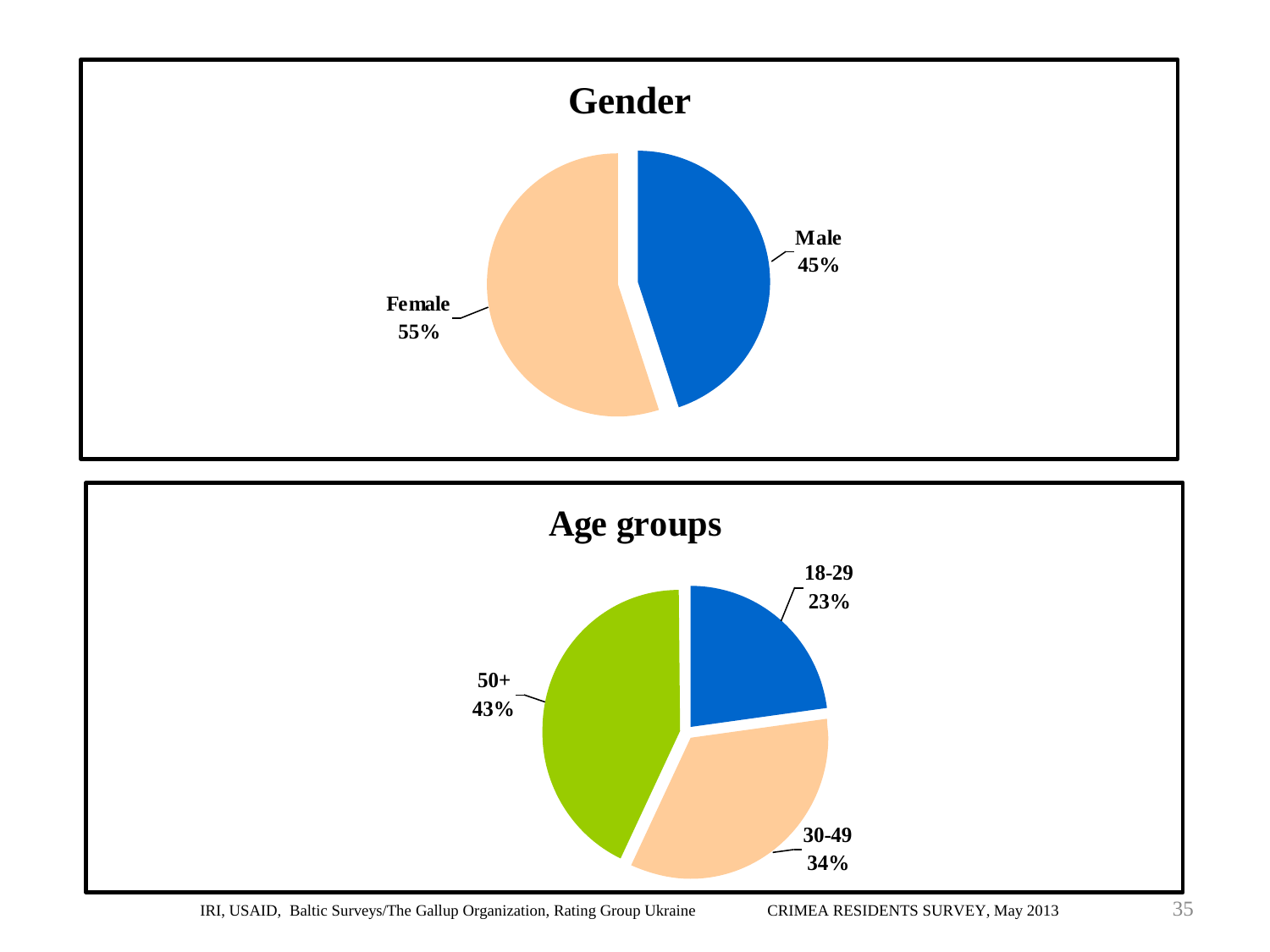

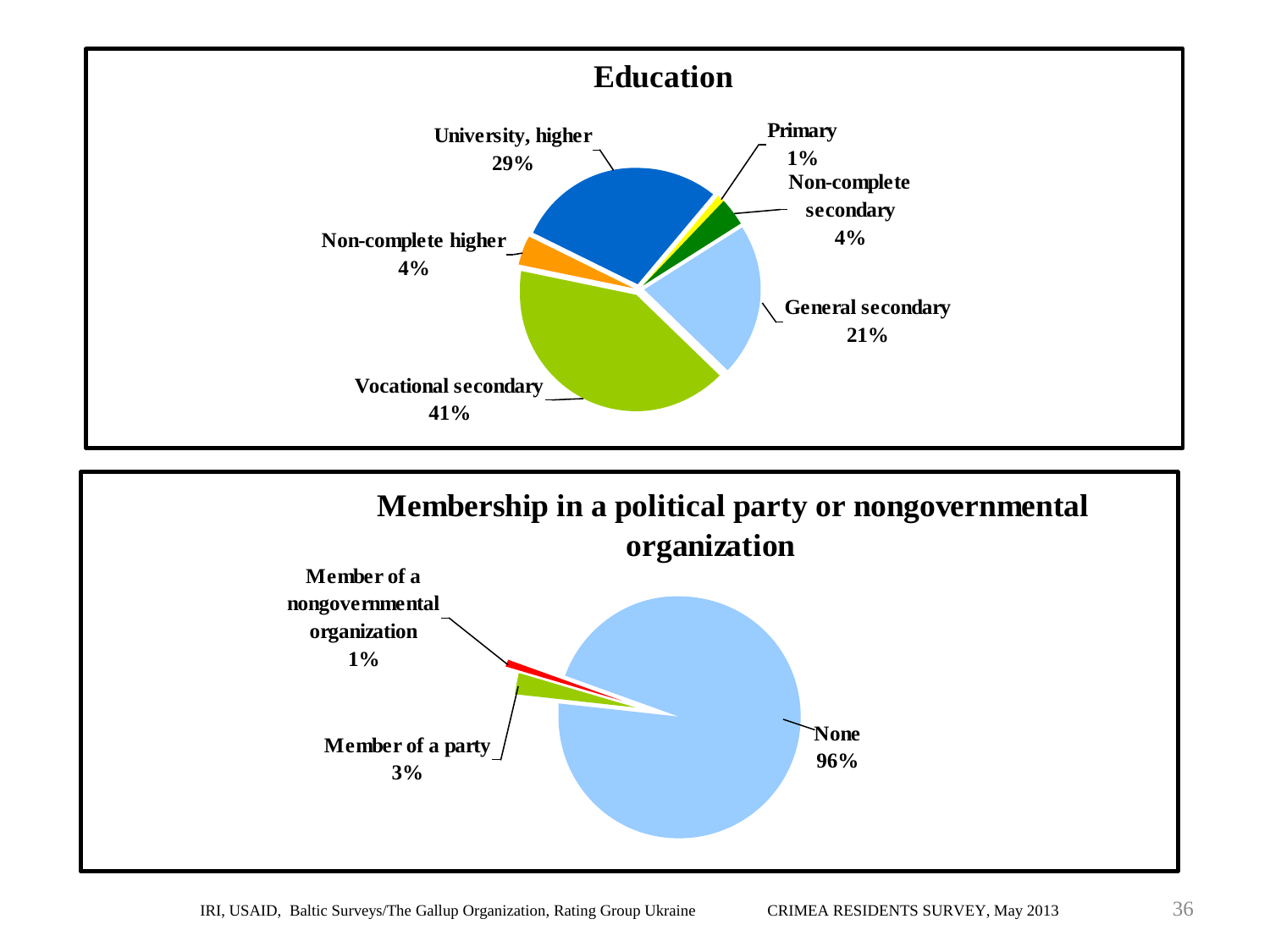

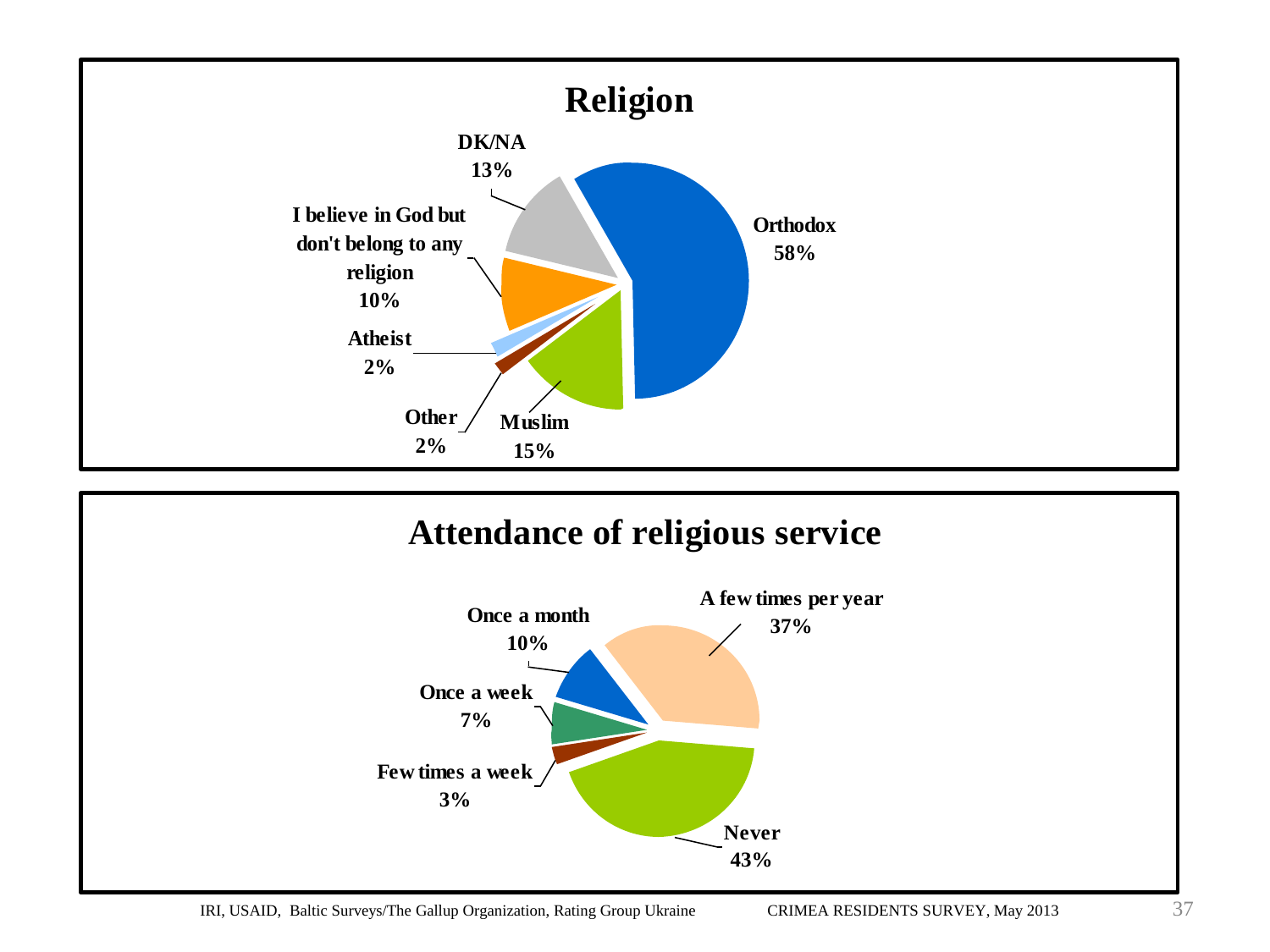



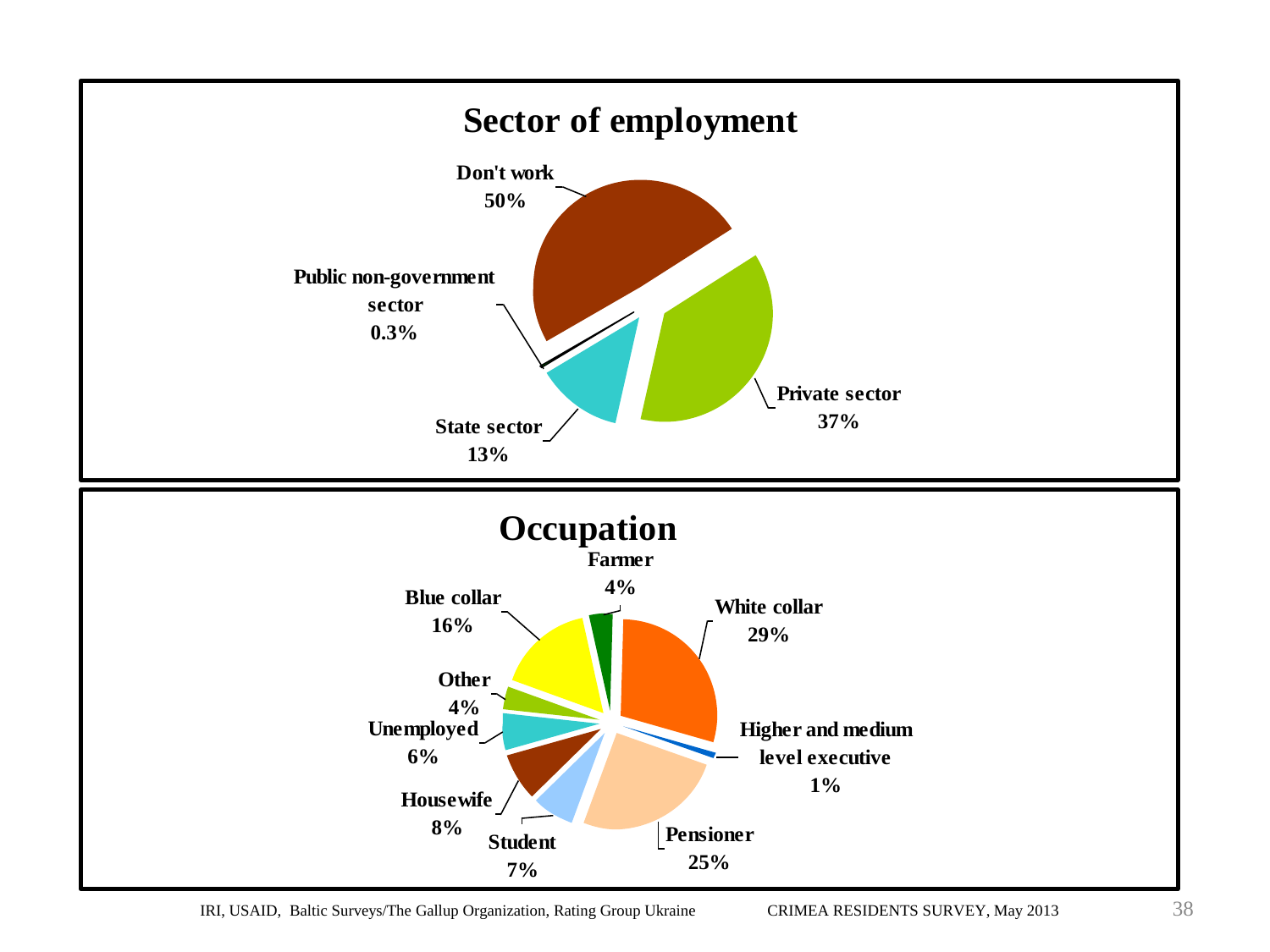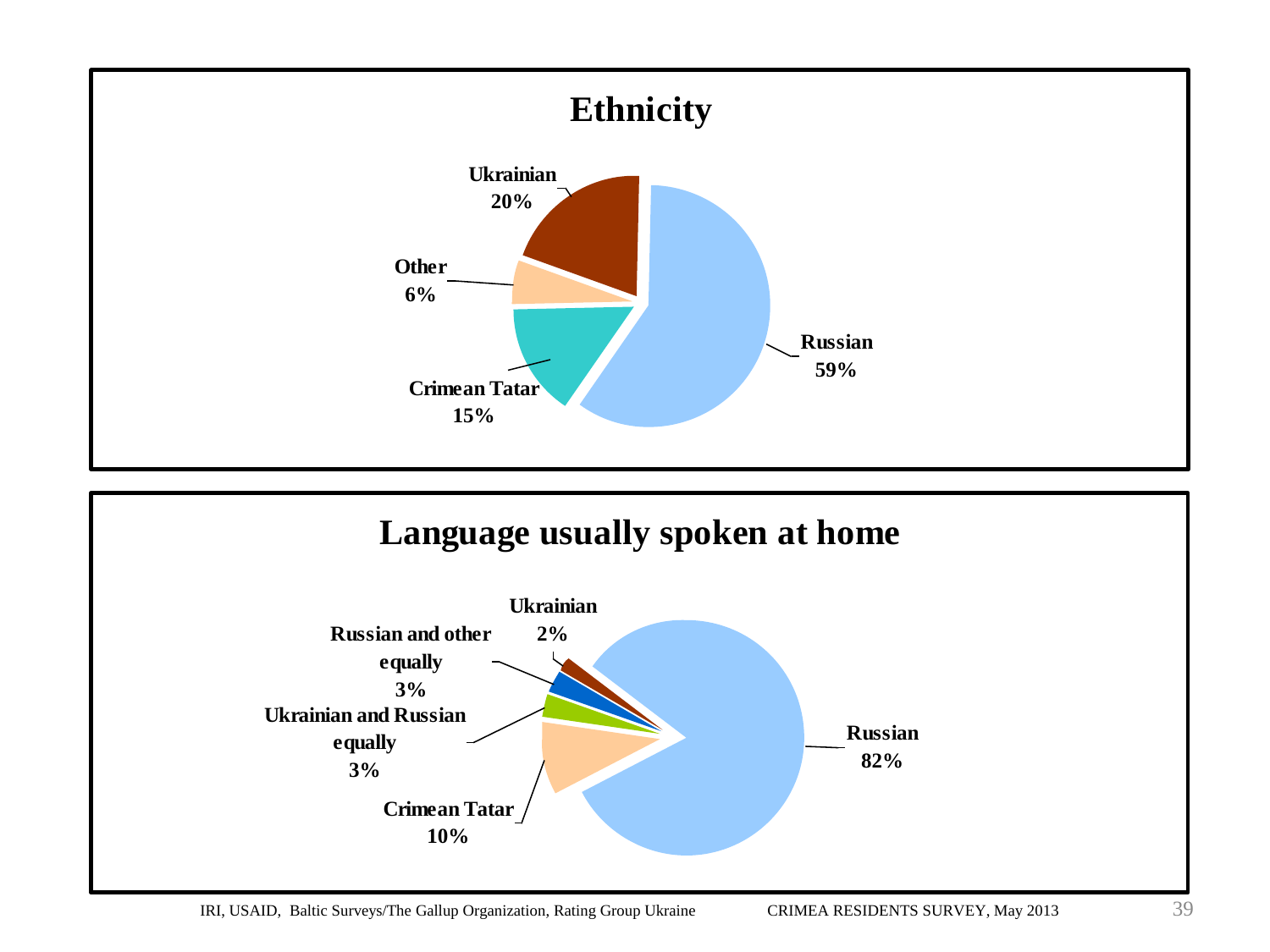